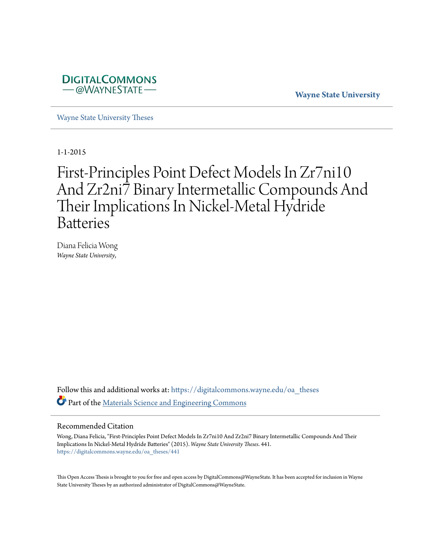

**Wayne State University**

[Wayne State University Theses](https://digitalcommons.wayne.edu/oa_theses?utm_source=digitalcommons.wayne.edu%2Foa_theses%2F441&utm_medium=PDF&utm_campaign=PDFCoverPages)

1-1-2015

# First-Principles Point Defect Models In Zr7ni10 And Zr2ni7 Binary Intermetallic Compounds And Their Implications In Nickel-Metal Hydride **Batteries**

Diana Felicia Wong *Wayne State University*,

Follow this and additional works at: [https://digitalcommons.wayne.edu/oa\\_theses](https://digitalcommons.wayne.edu/oa_theses?utm_source=digitalcommons.wayne.edu%2Foa_theses%2F441&utm_medium=PDF&utm_campaign=PDFCoverPages) Part of the [Materials Science and Engineering Commons](http://network.bepress.com/hgg/discipline/285?utm_source=digitalcommons.wayne.edu%2Foa_theses%2F441&utm_medium=PDF&utm_campaign=PDFCoverPages)

#### Recommended Citation

Wong, Diana Felicia, "First-Principles Point Defect Models In Zr7ni10 And Zr2ni7 Binary Intermetallic Compounds And Their Implications In Nickel-Metal Hydride Batteries" (2015). *Wayne State University Theses*. 441. [https://digitalcommons.wayne.edu/oa\\_theses/441](https://digitalcommons.wayne.edu/oa_theses/441?utm_source=digitalcommons.wayne.edu%2Foa_theses%2F441&utm_medium=PDF&utm_campaign=PDFCoverPages)

This Open Access Thesis is brought to you for free and open access by DigitalCommons@WayneState. It has been accepted for inclusion in Wayne State University Theses by an authorized administrator of DigitalCommons@WayneState.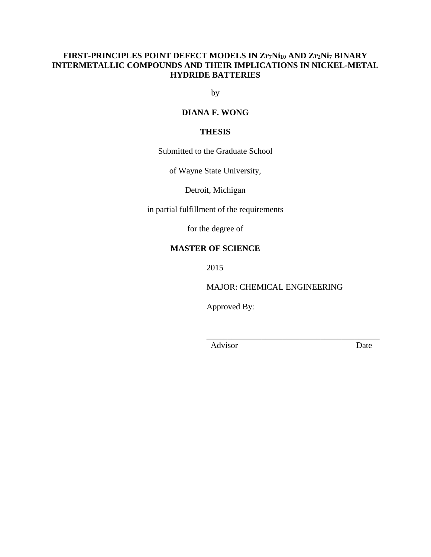## **FIRST-PRINCIPLES POINT DEFECT MODELS IN Zr7Ni<sup>10</sup> AND Zr2Ni<sup>7</sup> BINARY INTERMETALLIC COMPOUNDS AND THEIR IMPLICATIONS IN NICKEL-METAL HYDRIDE BATTERIES**

by

### **DIANA F. WONG**

### **THESIS**

Submitted to the Graduate School

of Wayne State University,

Detroit, Michigan

in partial fulfillment of the requirements

for the degree of

# **MASTER OF SCIENCE**

2015

MAJOR: CHEMICAL ENGINEERING

\_\_\_\_\_\_\_\_\_\_\_\_\_\_\_\_\_\_\_\_\_\_\_\_\_\_\_\_\_\_\_\_\_\_\_\_\_\_\_\_\_

Approved By:

Advisor Date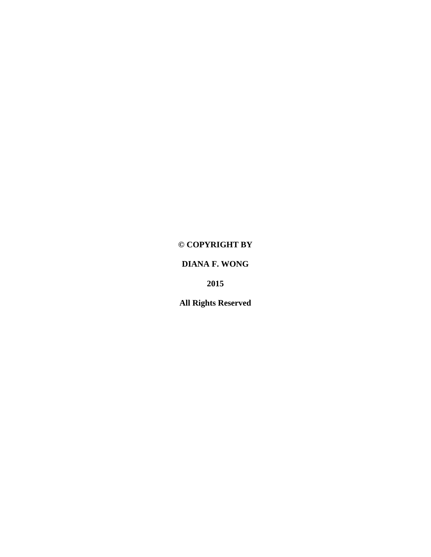# **© COPYRIGHT BY**

# **DIANA F. WONG**

**2015**

**All Rights Reserved**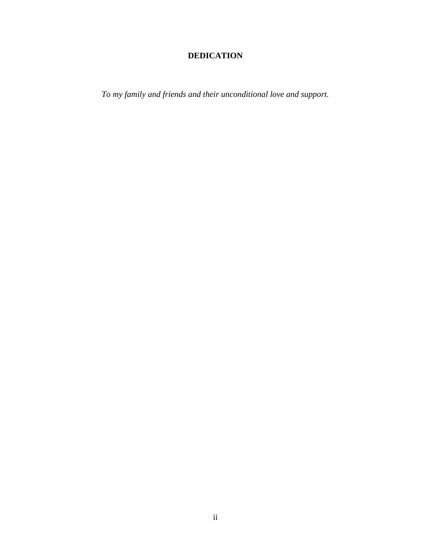# **DEDICATION**

<span id="page-3-0"></span>*To my family and friends and their unconditional love and support.*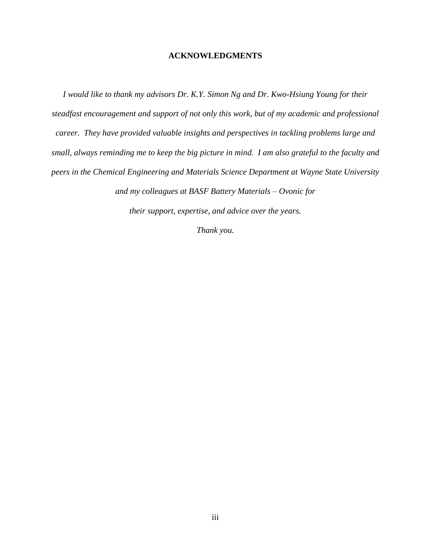#### **ACKNOWLEDGMENTS**

<span id="page-4-0"></span>*I would like to thank my advisors Dr. K.Y. Simon Ng and Dr. Kwo-Hsiung Young for their steadfast encouragement and support of not only this work, but of my academic and professional career. They have provided valuable insights and perspectives in tackling problems large and small, always reminding me to keep the big picture in mind. I am also grateful to the faculty and peers in the Chemical Engineering and Materials Science Department at Wayne State University* 

*and my colleagues at BASF Battery Materials – Ovonic for* 

*their support, expertise, and advice over the years.* 

*Thank you.*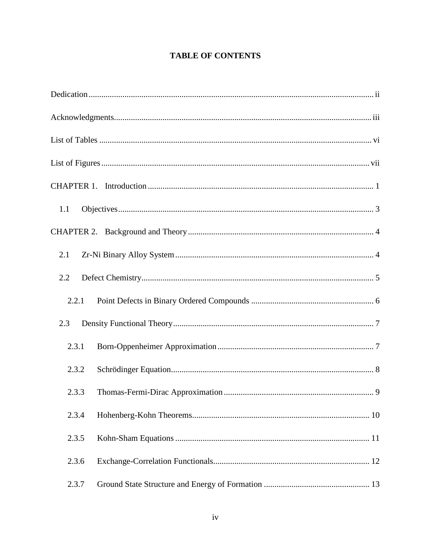# **TABLE OF CONTENTS**

| 1.1   |
|-------|
|       |
| 2.1   |
| 2.2   |
| 2.2.1 |
| 2.3   |
| 2.3.1 |
| 2.3.2 |
| 2.3.3 |
| 2.3.4 |
| 2.3.5 |
| 2.3.6 |
| 2.3.7 |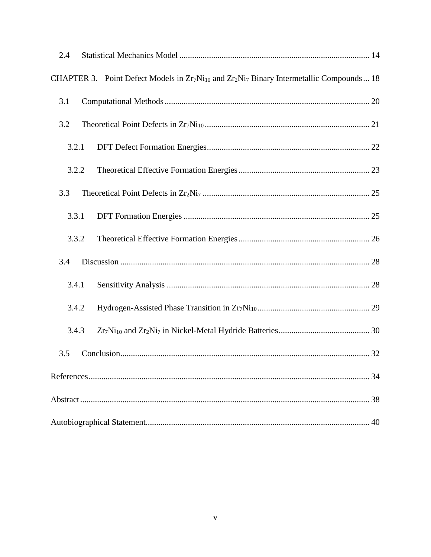| 2.4   |                                                                                                                                           |    |
|-------|-------------------------------------------------------------------------------------------------------------------------------------------|----|
|       | CHAPTER 3. Point Defect Models in Zr <sub>7</sub> Ni <sub>10</sub> and Zr <sub>2</sub> Ni <sub>7</sub> Binary Intermetallic Compounds  18 |    |
| 3.1   |                                                                                                                                           |    |
| 3.2   |                                                                                                                                           |    |
| 3.2.1 |                                                                                                                                           |    |
| 3.2.2 |                                                                                                                                           |    |
| 3.3   |                                                                                                                                           |    |
| 3.3.1 |                                                                                                                                           |    |
| 3.3.2 |                                                                                                                                           |    |
| 3.4   |                                                                                                                                           |    |
| 3.4.1 |                                                                                                                                           |    |
| 3.4.2 |                                                                                                                                           |    |
| 3.4.3 |                                                                                                                                           |    |
| 3.5   |                                                                                                                                           |    |
|       |                                                                                                                                           |    |
|       |                                                                                                                                           |    |
|       |                                                                                                                                           | 40 |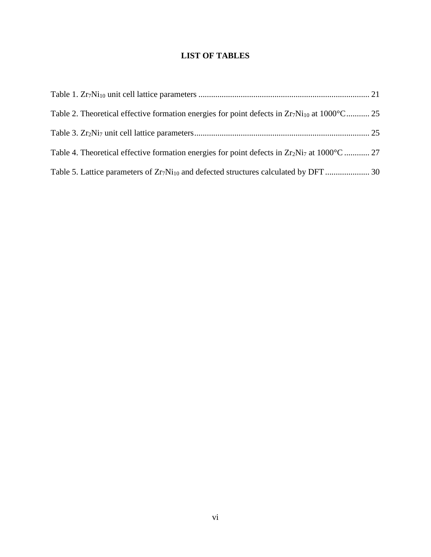# **LIST OF TABLES**

<span id="page-7-0"></span>

| Table 2. Theoretical effective formation energies for point defects in $Zr_7Ni_{10}$ at $1000^{\circ}$ C 25 |  |
|-------------------------------------------------------------------------------------------------------------|--|
|                                                                                                             |  |
| Table 4. Theoretical effective formation energies for point defects in $Zr_2Ni_7$ at $1000^{\circ}$ C  27   |  |
|                                                                                                             |  |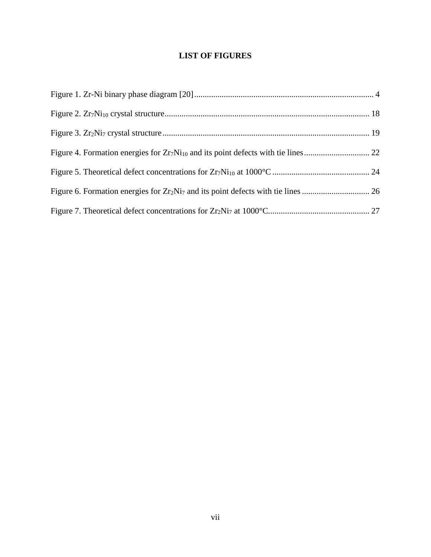# **LIST OF FIGURES**

<span id="page-8-0"></span>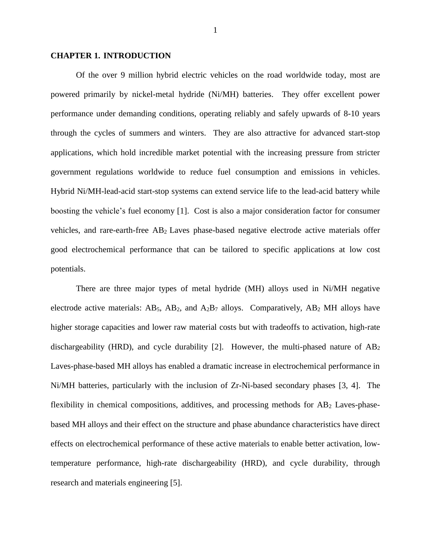#### <span id="page-9-0"></span>**CHAPTER 1. INTRODUCTION**

Of the over 9 million hybrid electric vehicles on the road worldwide today, most are powered primarily by nickel-metal hydride (Ni/MH) batteries. They offer excellent power performance under demanding conditions, operating reliably and safely upwards of 8-10 years through the cycles of summers and winters. They are also attractive for advanced start-stop applications, which hold incredible market potential with the increasing pressure from stricter government regulations worldwide to reduce fuel consumption and emissions in vehicles. Hybrid Ni/MH-lead-acid start-stop systems can extend service life to the lead-acid battery while boosting the vehicle's fuel economy [\[1\]](#page-42-1). Cost is also a major consideration factor for consumer vehicles, and rare-earth-free AB<sup>2</sup> Laves phase-based negative electrode active materials offer good electrochemical performance that can be tailored to specific applications at low cost potentials.

There are three major types of metal hydride (MH) alloys used in Ni/MH negative electrode active materials:  $AB_5$ ,  $AB_2$ , and  $A_2B_7$  alloys. Comparatively,  $AB_2$  MH alloys have higher storage capacities and lower raw material costs but with tradeoffs to activation, high-rate dischargeability (HRD), and cycle durability [\[2\]](#page-42-2). However, the multi-phased nature of  $AB_2$ Laves-phase-based MH alloys has enabled a dramatic increase in electrochemical performance in Ni/MH batteries, particularly with the inclusion of Zr-Ni-based secondary phases [\[3,](#page-42-3) [4\]](#page-42-4). The flexibility in chemical compositions, additives, and processing methods for AB<sub>2</sub> Laves-phasebased MH alloys and their effect on the structure and phase abundance characteristics have direct effects on electrochemical performance of these active materials to enable better activation, lowtemperature performance, high-rate dischargeability (HRD), and cycle durability, through research and materials engineering [\[5\]](#page-42-5).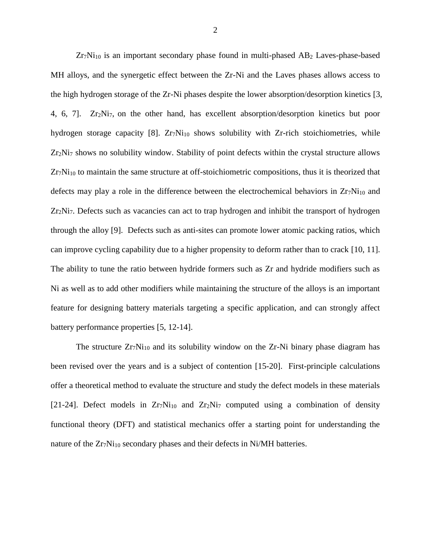Zr7Ni<sub>10</sub> is an important secondary phase found in multi-phased AB<sub>2</sub> Laves-phase-based MH alloys, and the synergetic effect between the Zr-Ni and the Laves phases allows access to the high hydrogen storage of the Zr-Ni phases despite the lower absorption/desorption kinetics [\[3,](#page-42-3) [4,](#page-42-4) [6,](#page-42-6) [7\]](#page-42-7). Zr2Ni7, on the other hand, has excellent absorption/desorption kinetics but poor hydrogen storage capacity [\[8\]](#page-42-8).  $Zr_7Ni_{10}$  shows solubility with  $Zr$ -rich stoichiometries, while Zr2Ni<sup>7</sup> shows no solubility window. Stability of point defects within the crystal structure allows  $Zr_7Ni_{10}$  to maintain the same structure at off-stoichiometric compositions, thus it is theorized that defects may play a role in the difference between the electrochemical behaviors in  $Zr_7Ni_{10}$  and  $Zr_2Ni_7$ . Defects such as vacancies can act to trap hydrogen and inhibit the transport of hydrogen through the alloy [\[9\]](#page-42-9). Defects such as anti-sites can promote lower atomic packing ratios, which can improve cycling capability due to a higher propensity to deform rather than to crack [\[10,](#page-42-10) [11\]](#page-42-11). The ability to tune the ratio between hydride formers such as Zr and hydride modifiers such as Ni as well as to add other modifiers while maintaining the structure of the alloys is an important feature for designing battery materials targeting a specific application, and can strongly affect battery performance properties [\[5,](#page-42-5) [12-14\]](#page-43-0).

The structure  $Zr_7Ni_{10}$  and its solubility window on the  $Zr-Ni$  binary phase diagram has been revised over the years and is a subject of contention [\[15-20\]](#page-43-1). First-principle calculations offer a theoretical method to evaluate the structure and study the defect models in these materials [\[21-24\]](#page-43-2). Defect models in  $Z_{T_7}N_{110}$  and  $Z_{T_2}N_{17}$  computed using a combination of density functional theory (DFT) and statistical mechanics offer a starting point for understanding the nature of the  $Zr_7Ni_{10}$  secondary phases and their defects in Ni/MH batteries.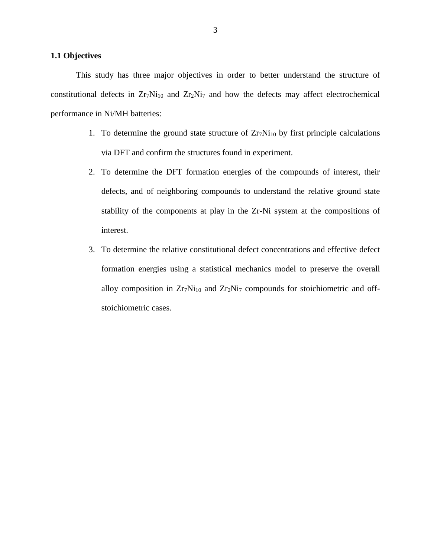#### <span id="page-11-0"></span>**1.1 Objectives**

This study has three major objectives in order to better understand the structure of constitutional defects in  $Zr_7Ni_{10}$  and  $Zr_2Ni_7$  and how the defects may affect electrochemical performance in Ni/MH batteries:

- 1. To determine the ground state structure of  $Zr_7Ni_{10}$  by first principle calculations via DFT and confirm the structures found in experiment.
- 2. To determine the DFT formation energies of the compounds of interest, their defects, and of neighboring compounds to understand the relative ground state stability of the components at play in the Zr-Ni system at the compositions of interest.
- 3. To determine the relative constitutional defect concentrations and effective defect formation energies using a statistical mechanics model to preserve the overall alloy composition in  $Zr_7Ni_{10}$  and  $Zr_2Ni_7$  compounds for stoichiometric and offstoichiometric cases.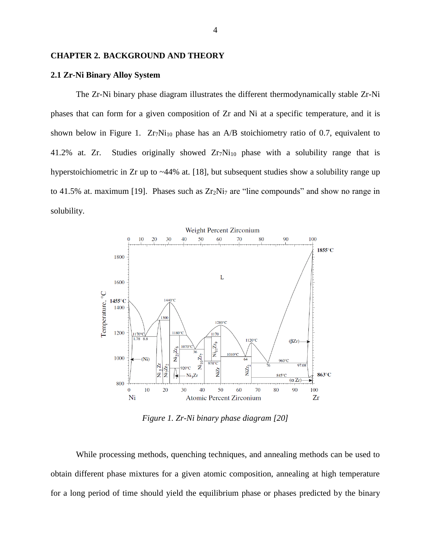#### <span id="page-12-0"></span>**CHAPTER 2. BACKGROUND AND THEORY**

#### <span id="page-12-1"></span>**2.1 Zr-Ni Binary Alloy System**

The Zr-Ni binary phase diagram illustrates the different thermodynamically stable Zr-Ni phases that can form for a given composition of Zr and Ni at a specific temperature, and it is shown below in [Figure 1.](#page-12-2)  $Zr_7Ni_{10}$  phase has an A/B stoichiometry ratio of 0.7, equivalent to 41.2% at. Zr. Studies originally showed  $Zr_7Ni_{10}$  phase with a solubility range that is hyperstoichiometric in Zr up to ~44% at. [\[18\]](#page-43-3), but subsequent studies show a solubility range up to 41.5% at. maximum [\[19\]](#page-43-4). Phases such as  $Zr_2Ni_7$  are "line compounds" and show no range in solubility.



*Figure 1. Zr-Ni binary phase diagram [\[20\]](#page-43-5)*

<span id="page-12-2"></span>While processing methods, quenching techniques, and annealing methods can be used to obtain different phase mixtures for a given atomic composition, annealing at high temperature for a long period of time should yield the equilibrium phase or phases predicted by the binary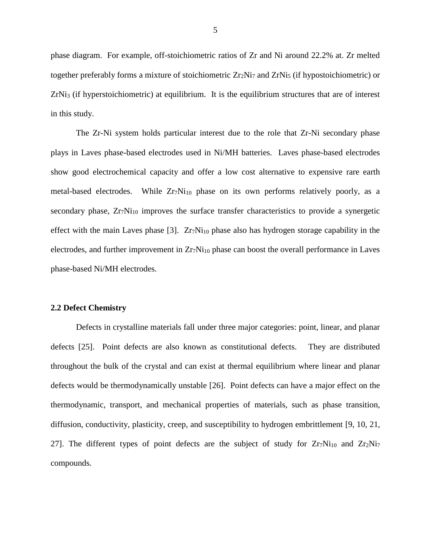phase diagram. For example, off-stoichiometric ratios of Zr and Ni around 22.2% at. Zr melted together preferably forms a mixture of stoichiometric  $Zr_2Ni_7$  and  $ZrNi_5$  (if hypostoichiometric) or  $ZrNi<sub>3</sub>$  (if hyperstoichiometric) at equilibrium. It is the equilibrium structures that are of interest in this study.

The Zr-Ni system holds particular interest due to the role that Zr-Ni secondary phase plays in Laves phase-based electrodes used in Ni/MH batteries. Laves phase-based electrodes show good electrochemical capacity and offer a low cost alternative to expensive rare earth metal-based electrodes. While  $Zr_7Ni_{10}$  phase on its own performs relatively poorly, as a secondary phase,  $Zr_7Ni_{10}$  improves the surface transfer characteristics to provide a synergetic effect with the main Laves phase [\[3\]](#page-42-3).  $Zr_7Ni_{10}$  phase also has hydrogen storage capability in the electrodes, and further improvement in  $Z_T N_{110}$  phase can boost the overall performance in Laves phase-based Ni/MH electrodes.

#### <span id="page-13-0"></span>**2.2 Defect Chemistry**

Defects in crystalline materials fall under three major categories: point, linear, and planar defects [\[25\]](#page-43-6). Point defects are also known as constitutional defects. They are distributed throughout the bulk of the crystal and can exist at thermal equilibrium where linear and planar defects would be thermodynamically unstable [\[26\]](#page-43-7). Point defects can have a major effect on the thermodynamic, transport, and mechanical properties of materials, such as phase transition, diffusion, conductivity, plasticity, creep, and susceptibility to hydrogen embrittlement [\[9,](#page-42-9) [10,](#page-42-10) [21,](#page-43-2) [27\]](#page-43-8). The different types of point defects are the subject of study for  $Zr_7Ni_{10}$  and  $Zr_2Ni_7$ compounds.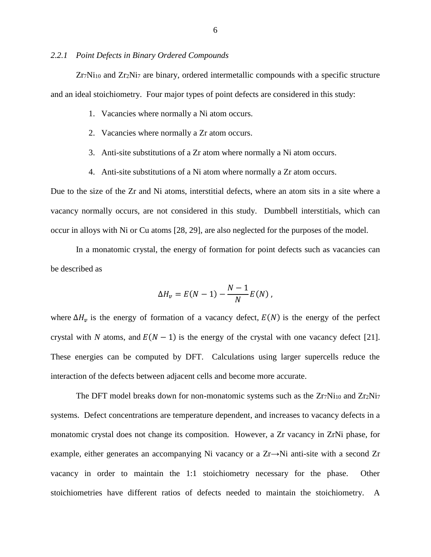#### <span id="page-14-0"></span>*2.2.1 Point Defects in Binary Ordered Compounds*

 $Zr_7Ni_{10}$  and  $Zr_2Ni_7$  are binary, ordered intermetallic compounds with a specific structure and an ideal stoichiometry. Four major types of point defects are considered in this study:

- 1. Vacancies where normally a Ni atom occurs.
- 2. Vacancies where normally a Zr atom occurs.
- 3. Anti-site substitutions of a Zr atom where normally a Ni atom occurs.
- 4. Anti-site substitutions of a Ni atom where normally a Zr atom occurs.

Due to the size of the Zr and Ni atoms, interstitial defects, where an atom sits in a site where a vacancy normally occurs, are not considered in this study. Dumbbell interstitials, which can occur in alloys with Ni or Cu atoms [\[28,](#page-43-9) [29\]](#page-44-0), are also neglected for the purposes of the model.

In a monatomic crystal, the energy of formation for point defects such as vacancies can be described as

$$
\Delta H_v = E(N-1) - \frac{N-1}{N}E(N),
$$

where  $\Delta H_v$  is the energy of formation of a vacancy defect,  $E(N)$  is the energy of the perfect crystal with *N* atoms, and  $E(N - 1)$  is the energy of the crystal with one vacancy defect [\[21\]](#page-43-2). These energies can be computed by DFT. Calculations using larger supercells reduce the interaction of the defects between adjacent cells and become more accurate.

The DFT model breaks down for non-monatomic systems such as the  $Zr_7Ni_{10}$  and  $Zr_2Ni_7$ systems. Defect concentrations are temperature dependent, and increases to vacancy defects in a monatomic crystal does not change its composition. However, a Zr vacancy in ZrNi phase, for example, either generates an accompanying Ni vacancy or a  $Zr \rightarrow Ni$  anti-site with a second  $Zr$ vacancy in order to maintain the 1:1 stoichiometry necessary for the phase. Other stoichiometries have different ratios of defects needed to maintain the stoichiometry. A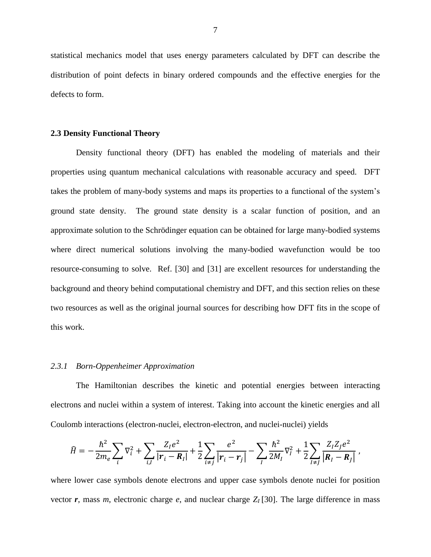statistical mechanics model that uses energy parameters calculated by DFT can describe the distribution of point defects in binary ordered compounds and the effective energies for the defects to form.

#### <span id="page-15-0"></span>**2.3 Density Functional Theory**

Density functional theory (DFT) has enabled the modeling of materials and their properties using quantum mechanical calculations with reasonable accuracy and speed. DFT takes the problem of many-body systems and maps its properties to a functional of the system's ground state density. The ground state density is a scalar function of position, and an approximate solution to the Schrödinger equation can be obtained for large many-bodied systems where direct numerical solutions involving the many-bodied wavefunction would be too resource-consuming to solve. Ref. [\[30\]](#page-44-1) and [\[31\]](#page-44-2) are excellent resources for understanding the background and theory behind computational chemistry and DFT, and this section relies on these two resources as well as the original journal sources for describing how DFT fits in the scope of this work.

#### <span id="page-15-1"></span>*2.3.1 Born-Oppenheimer Approximation*

The Hamiltonian describes the kinetic and potential energies between interacting electrons and nuclei within a system of interest. Taking into account the kinetic energies and all Coulomb interactions (electron-nuclei, electron-electron, and nuclei-nuclei) yields

$$
\hat{H} = -\frac{\hbar^2}{2m_e} \sum_i \nabla_i^2 + \sum_{i,I} \frac{Z_I e^2}{|\mathbf{r}_i - \mathbf{R}_I|} + \frac{1}{2} \sum_{i \neq j} \frac{e^2}{|\mathbf{r}_i - \mathbf{r}_j|} - \sum_I \frac{\hbar^2}{2M_I} \nabla_I^2 + \frac{1}{2} \sum_{I \neq J} \frac{Z_I Z_J e^2}{|\mathbf{R}_I - \mathbf{R}_J|},
$$

where lower case symbols denote electrons and upper case symbols denote nuclei for position vector  $r$ , mass  $m$ , electronic charge  $e$ , and nuclear charge  $Z_I$  [\[30\]](#page-44-1). The large difference in mass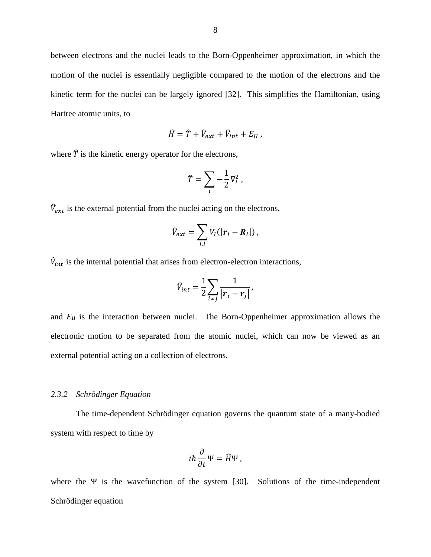between electrons and the nuclei leads to the Born-Oppenheimer approximation, in which the motion of the nuclei is essentially negligible compared to the motion of the electrons and the kinetic term for the nuclei can be largely ignored [\[32\]](#page-44-3). This simplifies the Hamiltonian, using Hartree atomic units, to

$$
\widehat{H} = \widehat{T} + \widehat{V}_{ext} + \widehat{V}_{int} + E_{II} ,
$$

where  $\hat{T}$  is the kinetic energy operator for the electrons,

$$
\widehat{T} = \sum_{i} -\frac{1}{2} \nabla_i^2 ,
$$

 $\hat{V}_{ext}$  is the external potential from the nuclei acting on the electrons,

$$
\hat{V}_{ext} = \sum_{i,I} V_I(|\boldsymbol{r}_i - \boldsymbol{R}_I|),
$$

 $\hat{V}_{int}$  is the internal potential that arises from electron-electron interactions,

$$
\hat{V}_{int} = \frac{1}{2} \sum_{i \neq j} \frac{1}{\left| \boldsymbol{r}_i - \boldsymbol{r}_j \right|},
$$

and  $E_I$  is the interaction between nuclei. The Born-Oppenheimer approximation allows the electronic motion to be separated from the atomic nuclei, which can now be viewed as an external potential acting on a collection of electrons.

### <span id="page-16-0"></span>*2.3.2 Schrödinger Equation*

The time-dependent Schrödinger equation governs the quantum state of a many-bodied system with respect to time by

$$
i\hbar\frac{\partial}{\partial t}\Psi=\widehat{H}\Psi,
$$

where the Ψ is the wavefunction of the system [\[30\]](#page-44-1). Solutions of the time-independent Schrödinger equation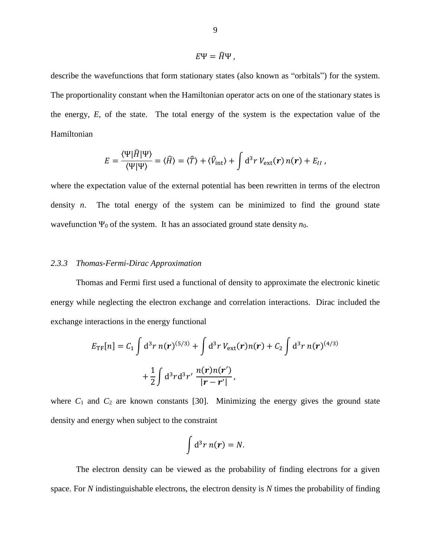$$
E\Psi=\widehat{H}\Psi,
$$

describe the wavefunctions that form stationary states (also known as "orbitals") for the system. The proportionality constant when the Hamiltonian operator acts on one of the stationary states is the energy, *E*, of the state. The total energy of the system is the expectation value of the Hamiltonian

$$
E = \frac{\langle \Psi | \hat{H} | \Psi \rangle}{\langle \Psi | \Psi \rangle} = \langle \hat{H} \rangle = \langle \hat{T} \rangle + \langle \hat{V}_{\text{int}} \rangle + \int d^3 r \, V_{\text{ext}}(\mathbf{r}) \, n(\mathbf{r}) + E_{II} \, ,
$$

where the expectation value of the external potential has been rewritten in terms of the electron density *n*. The total energy of the system can be minimized to find the ground state wavefunction  $\Psi_0$  of the system. It has an associated ground state density  $n_0$ .

### <span id="page-17-0"></span>*2.3.3 Thomas-Fermi-Dirac Approximation*

Thomas and Fermi first used a functional of density to approximate the electronic kinetic energy while neglecting the electron exchange and correlation interactions. Dirac included the exchange interactions in the energy functional

$$
E_{\text{TF}}[n] = C_1 \int d^3 r \, n(\mathbf{r})^{(5/3)} + \int d^3 r \, V_{\text{ext}}(\mathbf{r}) n(\mathbf{r}) + C_2 \int d^3 r \, n(\mathbf{r})^{(4/3)} + \frac{1}{2} \int d^3 r d^3 r' \, \frac{n(\mathbf{r}) n(\mathbf{r}')}{|\mathbf{r} - \mathbf{r}'|},
$$

where  $C_1$  and  $C_2$  are known constants [\[30\]](#page-44-1). Minimizing the energy gives the ground state density and energy when subject to the constraint

$$
\int d^3r\, n(\boldsymbol{r})=N.
$$

The electron density can be viewed as the probability of finding electrons for a given space. For *N* indistinguishable electrons, the electron density is *N* times the probability of finding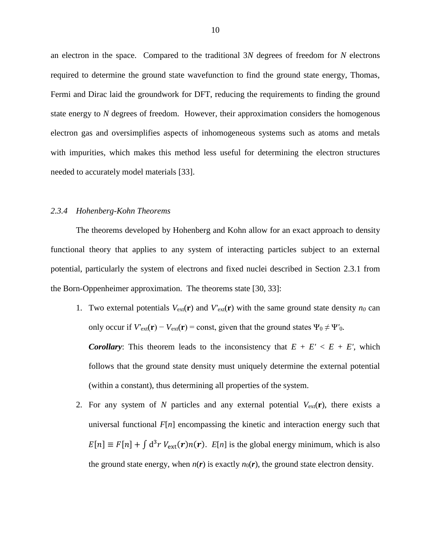an electron in the space. Compared to the traditional 3*N* degrees of freedom for *N* electrons required to determine the ground state wavefunction to find the ground state energy, Thomas, Fermi and Dirac laid the groundwork for DFT, reducing the requirements to finding the ground state energy to *N* degrees of freedom. However, their approximation considers the homogenous electron gas and oversimplifies aspects of inhomogeneous systems such as atoms and metals with impurities, which makes this method less useful for determining the electron structures needed to accurately model materials [\[33\]](#page-44-4).

#### <span id="page-18-0"></span>*2.3.4 Hohenberg-Kohn Theorems*

The theorems developed by Hohenberg and Kohn allow for an exact approach to density functional theory that applies to any system of interacting particles subject to an external potential, particularly the system of electrons and fixed nuclei described in Section [2.3.1](#page-15-1) from the Born-Oppenheimer approximation. The theorems state [\[30,](#page-44-1) [33\]](#page-44-4):

1. Two external potentials  $V_{ext}(\mathbf{r})$  and  $V'_{ext}(\mathbf{r})$  with the same ground state density  $n_0$  can only occur if  $V'_{ext}(\mathbf{r}) - V_{ext}(\mathbf{r}) = \text{const}$ , given that the ground states  $\Psi_0 \neq \Psi'_{0}$ .

*Corollary:* This theorem leads to the inconsistency that  $E + E' < E + E'$ , which follows that the ground state density must uniquely determine the external potential (within a constant), thus determining all properties of the system.

2. For any system of N particles and any external potential  $V_{ext}(\mathbf{r})$ , there exists a universal functional *F*[*n*] encompassing the kinetic and interaction energy such that  $E[n] \equiv F[n] + \int d^3r V_{ext}(r)n(r)$ .  $E[n]$  is the global energy minimum, which is also the ground state energy, when  $n(r)$  is exactly  $n_0(r)$ , the ground state electron density.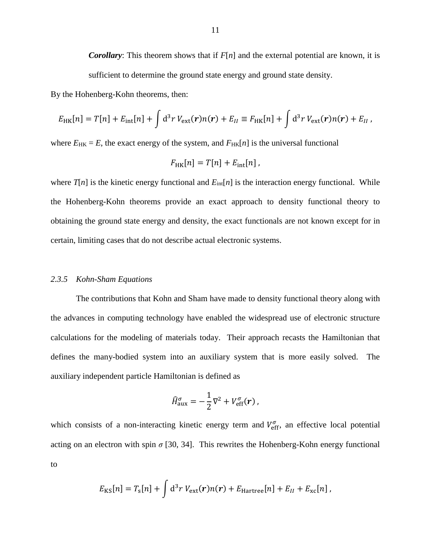*Corollary*: This theorem shows that if *F*[*n*] and the external potential are known, it is sufficient to determine the ground state energy and ground state density.

By the Hohenberg-Kohn theorems, then:

$$
E_{HK}[n] = T[n] + E_{int}[n] + \int d^3r \, V_{ext}(\mathbf{r}) n(\mathbf{r}) + E_{II} \equiv F_{HK}[n] + \int d^3r \, V_{ext}(\mathbf{r}) n(\mathbf{r}) + E_{II} \, ,
$$

where  $E_{HK} = E$ , the exact energy of the system, and  $F_{HK}[n]$  is the universal functional

$$
F_{\rm HK}[n] = T[n] + E_{\rm int}[n],
$$

where  $T[n]$  is the kinetic energy functional and  $E_{int}[n]$  is the interaction energy functional. While the Hohenberg-Kohn theorems provide an exact approach to density functional theory to obtaining the ground state energy and density, the exact functionals are not known except for in certain, limiting cases that do not describe actual electronic systems.

#### <span id="page-19-0"></span>*2.3.5 Kohn-Sham Equations*

The contributions that Kohn and Sham have made to density functional theory along with the advances in computing technology have enabled the widespread use of electronic structure calculations for the modeling of materials today. Their approach recasts the Hamiltonian that defines the many-bodied system into an auxiliary system that is more easily solved. The auxiliary independent particle Hamiltonian is defined as

$$
\widehat{H}_{\rm aux}^{\sigma} = -\frac{1}{2}\nabla^2 + V_{\rm eff}^{\sigma}(\boldsymbol{r})\,,
$$

which consists of a non-interacting kinetic energy term and  $V_{\text{eff}}^{\sigma}$ , an effective local potential acting on an electron with spin  $\sigma$  [\[30,](#page-44-1) [34\]](#page-44-5). This rewrites the Hohenberg-Kohn energy functional to

$$
E_{\rm KS}[n] = T_{\rm s}[n] + \int d^3r \, V_{\rm ext}(\boldsymbol{r}) n(\boldsymbol{r}) + E_{\rm Hartree}[n] + E_{II} + E_{\rm xc}[n],
$$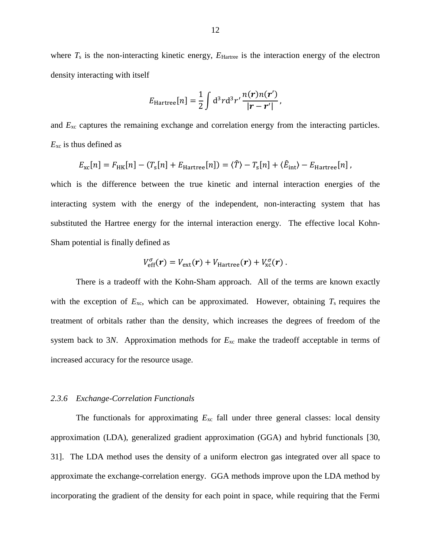where  $T_s$  is the non-interacting kinetic energy,  $E_{\text{Hartree}}$  is the interaction energy of the electron density interacting with itself

$$
E_{\text{Hartree}}[n] = \frac{1}{2} \int d^3 r d^3 r' \frac{n(r)n(r')}{|r-r'|},
$$

and *E*xc captures the remaining exchange and correlation energy from the interacting particles. *E*xc is thus defined as

$$
E_{\rm xc}[n] = F_{\rm HK}[n] - (T_{\rm s}[n] + E_{\rm Hartree}[n]) = \langle \hat{T} \rangle - T_{\rm s}[n] + \langle \hat{E}_{\rm int} \rangle - E_{\rm Hartree}[n],
$$

which is the difference between the true kinetic and internal interaction energies of the interacting system with the energy of the independent, non-interacting system that has substituted the Hartree energy for the internal interaction energy. The effective local Kohn-Sham potential is finally defined as

$$
V_{\text{eff}}^{\sigma}(\boldsymbol{r})=V_{\text{ext}}(\boldsymbol{r})+V_{\text{Hartree}}(\boldsymbol{r})+V_{\text{xc}}^{\sigma}(\boldsymbol{r})\,.
$$

There is a tradeoff with the Kohn-Sham approach. All of the terms are known exactly with the exception of  $E_{\text{xc}}$ , which can be approximated. However, obtaining  $T_s$  requires the treatment of orbitals rather than the density, which increases the degrees of freedom of the system back to 3*N*. Approximation methods for *E*xc make the tradeoff acceptable in terms of increased accuracy for the resource usage.

#### <span id="page-20-0"></span>*2.3.6 Exchange-Correlation Functionals*

The functionals for approximating  $E_{xc}$  fall under three general classes: local density approximation (LDA), generalized gradient approximation (GGA) and hybrid functionals [\[30,](#page-44-1) [31\]](#page-44-2). The LDA method uses the density of a uniform electron gas integrated over all space to approximate the exchange-correlation energy. GGA methods improve upon the LDA method by incorporating the gradient of the density for each point in space, while requiring that the Fermi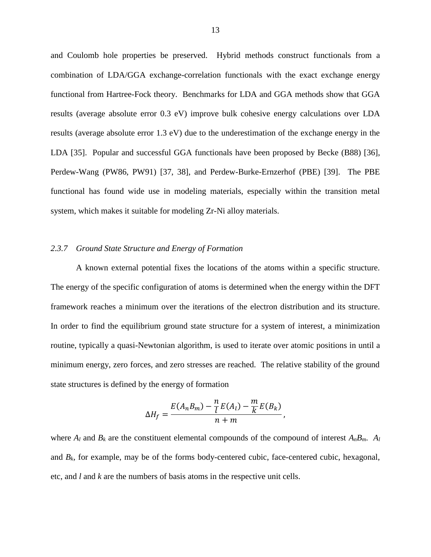and Coulomb hole properties be preserved. Hybrid methods construct functionals from a combination of LDA/GGA exchange-correlation functionals with the exact exchange energy functional from Hartree-Fock theory. Benchmarks for LDA and GGA methods show that GGA results (average absolute error 0.3 eV) improve bulk cohesive energy calculations over LDA results (average absolute error 1.3 eV) due to the underestimation of the exchange energy in the LDA [\[35\]](#page-44-6). Popular and successful GGA functionals have been proposed by Becke (B88) [\[36\]](#page-44-7), Perdew-Wang (PW86, PW91) [\[37,](#page-44-8) [38\]](#page-44-9), and Perdew-Burke-Ernzerhof (PBE) [\[39\]](#page-44-10). The PBE functional has found wide use in modeling materials, especially within the transition metal system, which makes it suitable for modeling Zr-Ni alloy materials.

#### <span id="page-21-0"></span>*2.3.7 Ground State Structure and Energy of Formation*

A known external potential fixes the locations of the atoms within a specific structure. The energy of the specific configuration of atoms is determined when the energy within the DFT framework reaches a minimum over the iterations of the electron distribution and its structure. In order to find the equilibrium ground state structure for a system of interest, a minimization routine, typically a quasi-Newtonian algorithm, is used to iterate over atomic positions in until a minimum energy, zero forces, and zero stresses are reached. The relative stability of the ground state structures is defined by the energy of formation

$$
\Delta H_f = \frac{E(A_n B_m) - \frac{n}{l} E(A_l) - \frac{m}{k} E(B_k)}{n + m},
$$

where  $A_l$  and  $B_k$  are the constituent elemental compounds of the compound of interest  $A_nB_m$ .  $A_l$ and  $B_k$ , for example, may be of the forms body-centered cubic, face-centered cubic, hexagonal, etc, and *l* and *k* are the numbers of basis atoms in the respective unit cells.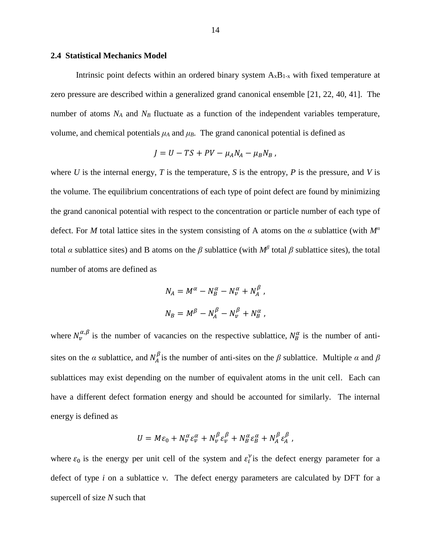#### <span id="page-22-0"></span>**2.4 Statistical Mechanics Model**

Intrinsic point defects within an ordered binary system  $A_xB_{1-x}$  with fixed temperature at zero pressure are described within a generalized grand canonical ensemble [\[21,](#page-43-2) [22,](#page-43-10) [40,](#page-44-11) [41\]](#page-44-12). The number of atoms *N<sup>A</sup>* and *N<sup>B</sup>* fluctuate as a function of the independent variables temperature, volume, and chemical potentials  $\mu_A$  and  $\mu_B$ . The grand canonical potential is defined as

$$
J = U - TS + PV - \mu_A N_A - \mu_B N_B,
$$

where *U* is the internal energy, *T* is the temperature, *S* is the entropy, *P* is the pressure, and *V* is the volume. The equilibrium concentrations of each type of point defect are found by minimizing the grand canonical potential with respect to the concentration or particle number of each type of defect. For *M* total lattice sites in the system consisting of A atoms on the *α* sublattice (with *M<sup>α</sup>* total *α* sublattice sites) and B atoms on the  $\beta$  sublattice (with  $M^{\beta}$  total  $\beta$  sublattice sites), the total number of atoms are defined as

$$
N_A = M^{\alpha} - N_B^{\alpha} - N_{\nu}^{\alpha} + N_A^{\beta} ,
$$
  

$$
N_B = M^{\beta} - N_A^{\beta} - N_{\nu}^{\beta} + N_B^{\alpha} ,
$$

where  $N_v^{\alpha,\beta}$  is the number of vacancies on the respective sublattice,  $N_B^{\alpha}$  is the number of antisites on the *α* sublattice, and  $N_A^{\beta}$  is the number of anti-sites on the  $\beta$  sublattice. Multiple *α* and  $\beta$ sublattices may exist depending on the number of equivalent atoms in the unit cell. Each can have a different defect formation energy and should be accounted for similarly. The internal energy is defined as

$$
U = M\varepsilon_0 + N_v^{\alpha} \varepsilon_v^{\alpha} + N_v^{\beta} \varepsilon_v^{\beta} + N_B^{\alpha} \varepsilon_B^{\alpha} + N_A^{\beta} \varepsilon_A^{\beta},
$$

where  $\varepsilon_0$  is the energy per unit cell of the system and  $\varepsilon_i^{\nu}$  is the defect energy parameter for a defect of type *i* on a sublattice ν. The defect energy parameters are calculated by DFT for a supercell of size *N* such that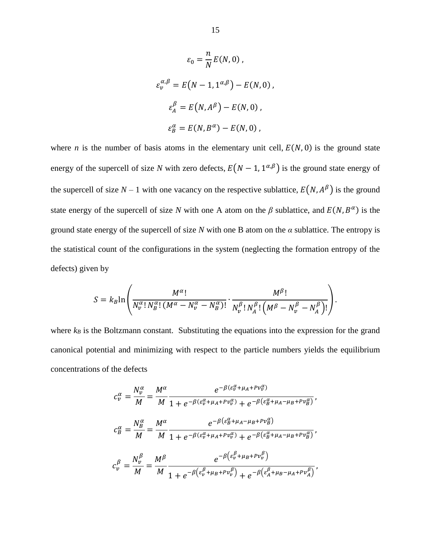$$
\varepsilon_0 = \frac{n}{N} E(N, 0),
$$
  
\n
$$
\varepsilon_v^{\alpha, \beta} = E(N - 1, 1^{\alpha, \beta}) - E(N, 0),
$$
  
\n
$$
\varepsilon_A^{\beta} = E(N, A^{\beta}) - E(N, 0),
$$
  
\n
$$
\varepsilon_B^{\alpha} = E(N, B^{\alpha}) - E(N, 0),
$$

where *n* is the number of basis atoms in the elementary unit cell,  $E(N, 0)$  is the ground state energy of the supercell of size *N* with zero defects,  $E(N - 1, 1^{\alpha,\beta})$  is the ground state energy of the supercell of size  $N-1$  with one vacancy on the respective sublattice,  $E(N, A^{\beta})$  is the ground state energy of the supercell of size *N* with one A atom on the  $\beta$  sublattice, and  $E(N, B^{\alpha})$  is the ground state energy of the supercell of size *N* with one B atom on the *α* sublattice. The entropy is the statistical count of the configurations in the system (neglecting the formation entropy of the defects) given by

$$
S = k_B \ln \left( \frac{M^{\alpha}!}{N_v^{\alpha}! N_B^{\alpha}! (M^{\alpha} - N_v^{\alpha} - N_B^{\alpha})!} \cdot \frac{M^{\beta}!}{N_v^{\beta}! N_A^{\beta}! (M^{\beta} - N_v^{\beta} - N_A^{\beta})!} \right).
$$

where  $k_B$  is the Boltzmann constant. Substituting the equations into the expression for the grand canonical potential and minimizing with respect to the particle numbers yields the equilibrium concentrations of the defects

$$
c_v^{\alpha} = \frac{N_v^{\alpha}}{M} = \frac{M^{\alpha}}{M} \frac{e^{-\beta(\varepsilon_v^{\alpha} + \mu_A + P v_v^{\alpha})}}{1 + e^{-\beta(\varepsilon_v^{\alpha} + \mu_A + P v_v^{\alpha})} + e^{-\beta(\varepsilon_B^{\alpha} + \mu_A - \mu_B + P v_B^{\alpha})}},
$$
  

$$
c_B^{\alpha} = \frac{N_B^{\alpha}}{M} = \frac{M^{\alpha}}{M} \frac{e^{-\beta(\varepsilon_B^{\alpha} + \mu_A + P v_v^{\alpha})} + e^{-\beta(\varepsilon_B^{\alpha} + \mu_A - \mu_B + P v_B^{\alpha})}}{1 + e^{-\beta(\varepsilon_v^{\alpha} + \mu_A + P v_v^{\alpha})} + e^{-\beta(\varepsilon_B^{\alpha} + \mu_A - \mu_B + P v_B^{\alpha})}},
$$
  

$$
c_v^{\beta} = \frac{N_v^{\beta}}{M} = \frac{M^{\beta}}{M} \frac{e^{-\beta(\varepsilon_v^{\beta} + \mu_B + P v_v^{\beta})} + e^{-\beta(\varepsilon_A^{\beta} + \mu_B - \mu_A + P v_A^{\beta})}}{1 + e^{-\beta(\varepsilon_v^{\beta} + \mu_B + P v_v^{\beta})} + e^{-\beta(\varepsilon_A^{\beta} + \mu_B - \mu_A + P v_A^{\beta})}},
$$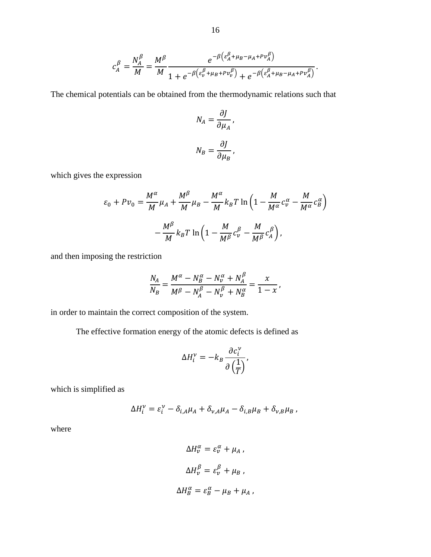$$
c_A^{\beta} = \frac{N_A^{\beta}}{M} = \frac{M^{\beta}}{M} \frac{e^{-\beta \left(\varepsilon_A^{\beta} + \mu_B - \mu_A + P v_A^{\beta}\right)}}{1 + e^{-\beta \left(\varepsilon_v^{\beta} + \mu_B + P v_v^{\beta}\right)} + e^{-\beta \left(\varepsilon_A^{\beta} + \mu_B - \mu_A + P v_A^{\beta}\right)}}
$$

.

The chemical potentials can be obtained from the thermodynamic relations such that

$$
N_A = \frac{\partial J}{\partial \mu_A},
$$

$$
N_B = \frac{\partial J}{\partial \mu_B},
$$

which gives the expression

$$
\varepsilon_0 + P v_0 = \frac{M^{\alpha}}{M} \mu_A + \frac{M^{\beta}}{M} \mu_B - \frac{M^{\alpha}}{M} k_B T \ln \left( 1 - \frac{M}{M^{\alpha}} c_v^{\alpha} - \frac{M}{M^{\alpha}} c_B^{\alpha} \right)
$$

$$
- \frac{M^{\beta}}{M} k_B T \ln \left( 1 - \frac{M}{M^{\beta}} c_v^{\beta} - \frac{M}{M^{\beta}} c_A^{\beta} \right),
$$

and then imposing the restriction

$$
\frac{N_A}{N_B} = \frac{M^{\alpha} - N_B^{\alpha} - N_{\nu}^{\alpha} + N_A^{\beta}}{M^{\beta} - N_A^{\beta} - N_{\nu}^{\beta} + N_B^{\alpha}} = \frac{x}{1 - x},
$$

in order to maintain the correct composition of the system.

The effective formation energy of the atomic defects is defined as

$$
\Delta H_i^{\nu} = -k_B \frac{\partial c_i^{\nu}}{\partial \left(\frac{1}{T}\right)},
$$

which is simplified as

$$
\Delta H_i^{\nu} = \varepsilon_i^{\nu} - \delta_{i,A} \mu_A + \delta_{\nu,A} \mu_A - \delta_{i,B} \mu_B + \delta_{\nu,B} \mu_B,
$$

where

$$
\Delta H_{\nu}^{\alpha} = \varepsilon_{\nu}^{\alpha} + \mu_{A},
$$
  

$$
\Delta H_{\nu}^{\beta} = \varepsilon_{\nu}^{\beta} + \mu_{B},
$$
  

$$
\Delta H_{B}^{\alpha} = \varepsilon_{B}^{\alpha} - \mu_{B} + \mu_{A},
$$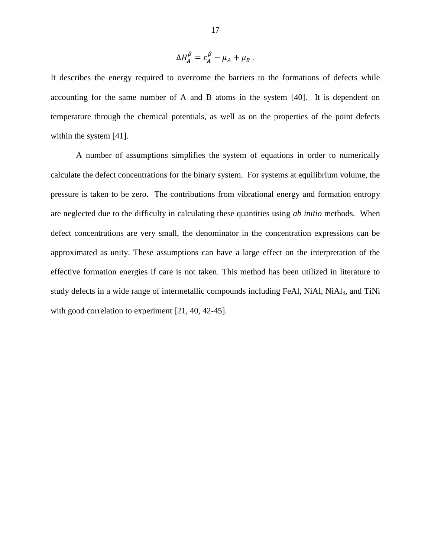$$
\Delta H_A^{\beta} = \varepsilon_A^{\beta} - \mu_A + \mu_B.
$$

It describes the energy required to overcome the barriers to the formations of defects while accounting for the same number of A and B atoms in the system [\[40\]](#page-44-11). It is dependent on temperature through the chemical potentials, as well as on the properties of the point defects within the system [\[41\]](#page-44-12).

A number of assumptions simplifies the system of equations in order to numerically calculate the defect concentrations for the binary system. For systems at equilibrium volume, the pressure is taken to be zero. The contributions from vibrational energy and formation entropy are neglected due to the difficulty in calculating these quantities using *ab initio* methods. When defect concentrations are very small, the denominator in the concentration expressions can be approximated as unity. These assumptions can have a large effect on the interpretation of the effective formation energies if care is not taken. This method has been utilized in literature to study defects in a wide range of intermetallic compounds including FeAl, NiAl, NiAl<sub>3</sub>, and TiNi with good correlation to experiment [\[21,](#page-43-2) [40,](#page-44-11) [42-45\]](#page-44-13).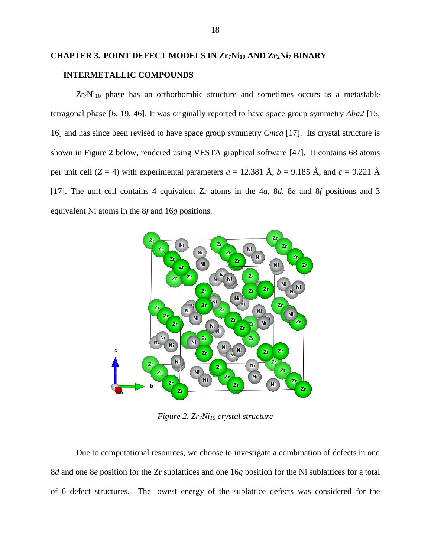# <span id="page-26-0"></span>**CHAPTER 3. POINT DEFECT MODELS IN Zr7Ni<sup>10</sup> AND Zr2Ni<sup>7</sup> BINARY INTERMETALLIC COMPOUNDS**

 $Zr_7Ni<sub>10</sub>$  phase has an orthorhombic structure and sometimes occurs as a metastable tetragonal phase [\[6,](#page-42-6) [19,](#page-43-4) [46\]](#page-44-14). It was originally reported to have space group symmetry *Aba2* [\[15,](#page-43-1) [16\]](#page-43-11) and has since been revised to have space group symmetry *Cmca* [\[17\]](#page-43-12). Its crystal structure is shown in [Figure 2](#page-26-1) below, rendered using VESTA graphical software [\[47\]](#page-44-15). It contains 68 atoms per unit cell ( $Z = 4$ ) with experimental parameters  $a = 12.381 \text{ Å}$ ,  $b = 9.185 \text{ Å}$ , and  $c = 9.221 \text{ Å}$ [\[17\]](#page-43-12). The unit cell contains 4 equivalent Zr atoms in the 4*a*, 8*d*, 8*e* and 8*f* positions and 3 equivalent Ni atoms in the 8*f* and 16*g* positions.



*Figure 2. Zr7Ni<sup>10</sup> crystal structure*

<span id="page-26-1"></span>Due to computational resources, we choose to investigate a combination of defects in one 8*d* and one 8*e* position for the Zr sublattices and one 16*g* position for the Ni sublattices for a total of 6 defect structures. The lowest energy of the sublattice defects was considered for the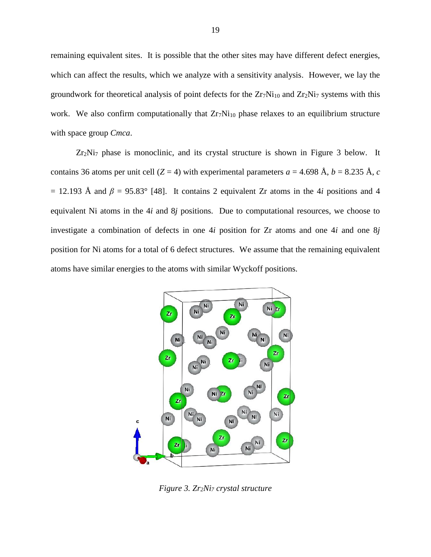remaining equivalent sites. It is possible that the other sites may have different defect energies, which can affect the results, which we analyze with a sensitivity analysis. However, we lay the groundwork for theoretical analysis of point defects for the  $Zr_7Ni_{10}$  and  $Zr_2Ni_7$  systems with this work. We also confirm computationally that  $Zr_7Ni_{10}$  phase relaxes to an equilibrium structure with space group *Cmca*.

Zr2Ni<sup>7</sup> phase is monoclinic, and its crystal structure is shown in [Figure 3](#page-27-0) below. It contains 36 atoms per unit cell ( $Z = 4$ ) with experimental parameters  $a = 4.698 \text{ Å}, b = 8.235 \text{ Å}, c$  $= 12.193$  Å and  $\beta = 95.83^{\circ}$  [\[48\]](#page-45-0). It contains 2 equivalent Zr atoms in the 4*i* positions and 4 equivalent Ni atoms in the 4*i* and 8*j* positions. Due to computational resources, we choose to investigate a combination of defects in one 4*i* position for Zr atoms and one 4*i* and one 8*j* position for Ni atoms for a total of 6 defect structures. We assume that the remaining equivalent atoms have similar energies to the atoms with similar Wyckoff positions.



<span id="page-27-0"></span>*Figure 3. Zr2Ni<sup>7</sup> crystal structure*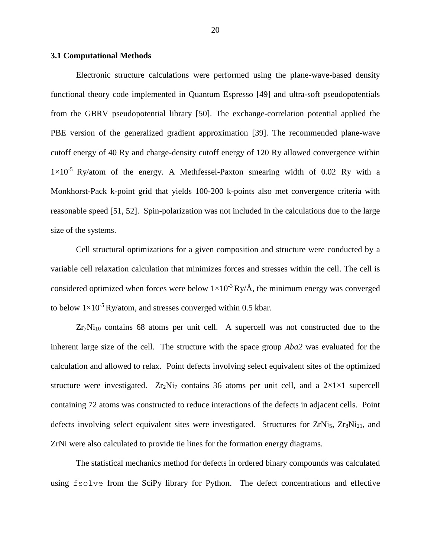#### <span id="page-28-0"></span>**3.1 Computational Methods**

Electronic structure calculations were performed using the plane-wave-based density functional theory code implemented in Quantum Espresso [\[49\]](#page-45-1) and ultra-soft pseudopotentials from the GBRV pseudopotential library [\[50\]](#page-45-2). The exchange-correlation potential applied the PBE version of the generalized gradient approximation [\[39\]](#page-44-10). The recommended plane-wave cutoff energy of 40 Ry and charge-density cutoff energy of 120 Ry allowed convergence within  $1\times10^{-5}$  Ry/atom of the energy. A Methfessel-Paxton smearing width of 0.02 Ry with a Monkhorst-Pack k-point grid that yields 100-200 k-points also met convergence criteria with reasonable speed [\[51,](#page-45-3) [52\]](#page-45-4). Spin-polarization was not included in the calculations due to the large size of the systems.

Cell structural optimizations for a given composition and structure were conducted by a variable cell relaxation calculation that minimizes forces and stresses within the cell. The cell is considered optimized when forces were below  $1\times10^{-3}$  Ry/Å, the minimum energy was converged to below  $1\times10^{-5}$  Ry/atom, and stresses converged within 0.5 kbar.

 $Zr_7Ni_{10}$  contains 68 atoms per unit cell. A supercell was not constructed due to the inherent large size of the cell. The structure with the space group *Aba2* was evaluated for the calculation and allowed to relax. Point defects involving select equivalent sites of the optimized structure were investigated.  $Zr_2Ni_7$  contains 36 atoms per unit cell, and a  $2\times1\times1$  supercell containing 72 atoms was constructed to reduce interactions of the defects in adjacent cells. Point defects involving select equivalent sites were investigated. Structures for  $ZrNi<sub>5</sub>$ ,  $Zr_8Ni<sub>21</sub>$ , and ZrNi were also calculated to provide tie lines for the formation energy diagrams.

The statistical mechanics method for defects in ordered binary compounds was calculated using fsolve from the SciPy library for Python. The defect concentrations and effective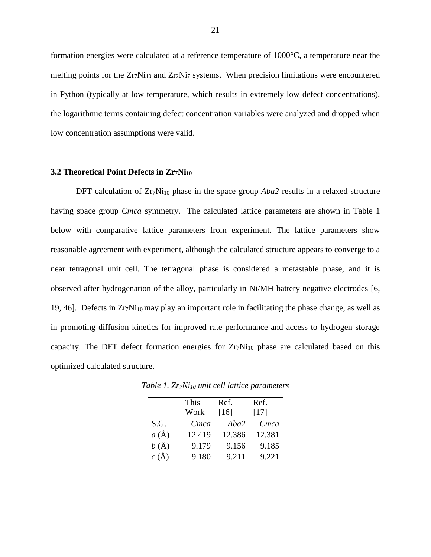formation energies were calculated at a reference temperature of 1000°C, a temperature near the melting points for the  $Zr_7Ni_{10}$  and  $Zr_2Ni_7$  systems. When precision limitations were encountered in Python (typically at low temperature, which results in extremely low defect concentrations), the logarithmic terms containing defect concentration variables were analyzed and dropped when low concentration assumptions were valid.

#### <span id="page-29-0"></span>**3.2 Theoretical Point Defects in Zr7Ni<sup>10</sup>**

DFT calculation of Zr<sub>7</sub>Ni<sub>10</sub> phase in the space group *Aba2* results in a relaxed structure having space group *Cmca* symmetry. The calculated lattice parameters are shown in [Table 1](#page-29-1) below with comparative lattice parameters from experiment. The lattice parameters show reasonable agreement with experiment, although the calculated structure appears to converge to a near tetragonal unit cell. The tetragonal phase is considered a metastable phase, and it is observed after hydrogenation of the alloy, particularly in Ni/MH battery negative electrodes [\[6,](#page-42-6) [19,](#page-43-4) [46\]](#page-44-14). Defects in  $Zr_7Ni_{10}$  may play an important role in facilitating the phase change, as well as in promoting diffusion kinetics for improved rate performance and access to hydrogen storage capacity. The DFT defect formation energies for  $Zr_7Ni_{10}$  phase are calculated based on this optimized calculated structure.

|          | This   | Ref.   | Ref.   |
|----------|--------|--------|--------|
|          | Work   | [16]   | $[17]$ |
| S.G.     | Cmca   | Aba2   | Cmca   |
| $a(\AA)$ | 12.419 | 12.386 | 12.381 |
| $b(\AA)$ | 9.179  | 9.156  | 9.185  |
| $c(\AA)$ | 9.180  | 9.211  | 9.221  |

<span id="page-29-1"></span>*Table 1. Zr7Ni<sup>10</sup> unit cell lattice parameters*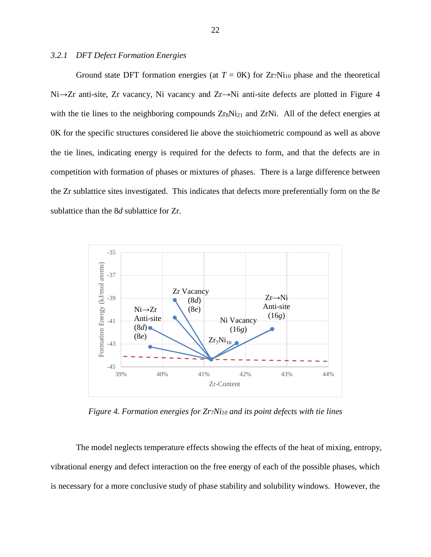#### <span id="page-30-0"></span>*3.2.1 DFT Defect Formation Energies*

Ground state DFT formation energies (at  $T = 0$ K) for  $Zr_7Ni_{10}$  phase and the theoretical Ni→Zr anti-site, Zr vacancy, Ni vacancy and Zr→Ni anti-site defects are plotted in [Figure 4](#page-30-1) with the tie lines to the neighboring compounds  $Z_{rs}Ni_{21}$  and  $Z_{r}Ni$ . All of the defect energies at 0K for the specific structures considered lie above the stoichiometric compound as well as above the tie lines, indicating energy is required for the defects to form, and that the defects are in competition with formation of phases or mixtures of phases. There is a large difference between the Zr sublattice sites investigated. This indicates that defects more preferentially form on the 8*e* sublattice than the 8*d* sublattice for Zr.



*Figure 4. Formation energies for Zr7Ni<sup>10</sup> and its point defects with tie lines*

<span id="page-30-1"></span>The model neglects temperature effects showing the effects of the heat of mixing, entropy, vibrational energy and defect interaction on the free energy of each of the possible phases, which is necessary for a more conclusive study of phase stability and solubility windows. However, the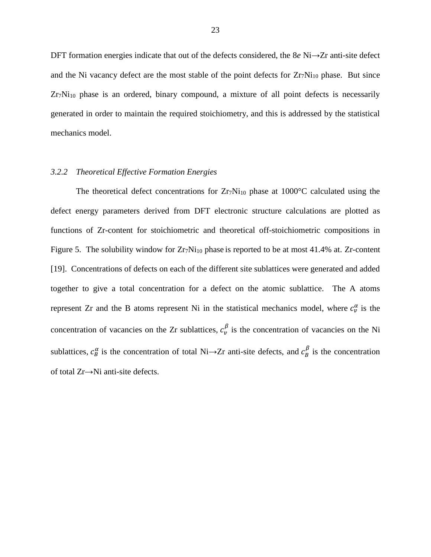DFT formation energies indicate that out of the defects considered, the 8*e* Ni→Zr anti-site defect and the Ni vacancy defect are the most stable of the point defects for  $Zr_7Ni_{10}$  phase. But since  $Zr_7Ni<sub>10</sub>$  phase is an ordered, binary compound, a mixture of all point defects is necessarily generated in order to maintain the required stoichiometry, and this is addressed by the statistical mechanics model.

#### <span id="page-31-0"></span>*3.2.2 Theoretical Effective Formation Energies*

The theoretical defect concentrations for  $Zr_7Ni_{10}$  phase at 1000°C calculated using the defect energy parameters derived from DFT electronic structure calculations are plotted as functions of Zr-content for stoichiometric and theoretical off-stoichiometric compositions in [Figure 5.](#page-32-0) The solubility window for  $Zr_7Ni_{10}$  phase is reported to be at most 41.4% at. Zr-content [\[19\]](#page-43-4). Concentrations of defects on each of the different site sublattices were generated and added together to give a total concentration for a defect on the atomic sublattice. The A atoms represent Zr and the B atoms represent Ni in the statistical mechanics model, where  $c_v^{\alpha}$  is the concentration of vacancies on the Zr sublattices,  $c_v^{\beta}$  is the concentration of vacancies on the Ni sublattices,  $c_B^{\alpha}$  is the concentration of total Ni→Zr anti-site defects, and  $c_B^{\beta}$  is the concentration of total Zr→Ni anti-site defects.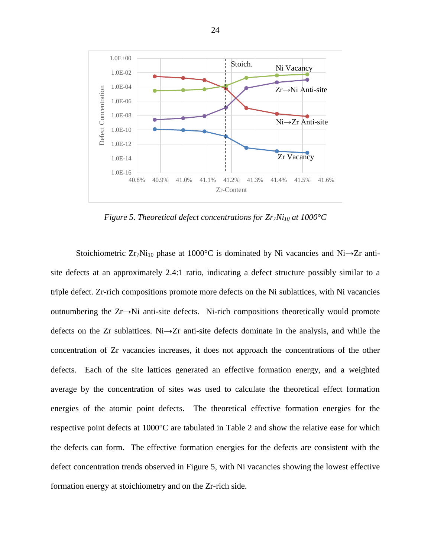

*Figure 5. Theoretical defect concentrations for Zr7Ni<sup>10</sup> at 1000°C*

<span id="page-32-0"></span>Stoichiometric Zr<sub>7</sub>Ni<sub>10</sub> phase at 1000°C is dominated by Ni vacancies and Ni→Zr antisite defects at an approximately 2.4:1 ratio, indicating a defect structure possibly similar to a triple defect. Zr-rich compositions promote more defects on the Ni sublattices, with Ni vacancies outnumbering the Zr→Ni anti-site defects. Ni-rich compositions theoretically would promote defects on the Zr sublattices. Ni→Zr anti-site defects dominate in the analysis, and while the concentration of Zr vacancies increases, it does not approach the concentrations of the other defects. Each of the site lattices generated an effective formation energy, and a weighted average by the concentration of sites was used to calculate the theoretical effect formation energies of the atomic point defects. The theoretical effective formation energies for the respective point defects at 1000°C are tabulated in [Table 2](#page-33-2) and show the relative ease for which the defects can form. The effective formation energies for the defects are consistent with the defect concentration trends observed in [Figure 5,](#page-32-0) with Ni vacancies showing the lowest effective formation energy at stoichiometry and on the Zr-rich side.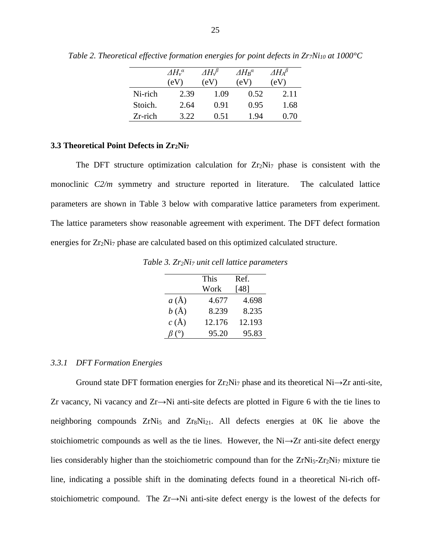|         | $\Delta H_{v}^{\alpha}$ | $\varDelta H_\nu{}^\beta$ | $\Delta H_R^{\alpha}$ | $\varDelta H_\text{A}{}^\beta$ |
|---------|-------------------------|---------------------------|-----------------------|--------------------------------|
|         | (eV                     | (eV)                      | (eV                   | e V                            |
| Ni-rich | 2.39                    | 1.09                      | 0.52                  | 2.11                           |
| Stoich. | 2.64                    | 0.91                      | 0.95                  | 1.68                           |
| Zr-rich | 3.22                    | 0.51                      | 1.94                  | 0.70                           |

<span id="page-33-2"></span>*Table 2. Theoretical effective formation energies for point defects in Zr7Ni<sup>10</sup> at 1000°C*

#### <span id="page-33-0"></span>**3.3 Theoretical Point Defects in Zr2Ni<sup>7</sup>**

The DFT structure optimization calculation for  $Zr_2Ni_7$  phase is consistent with the monoclinic *C2/m* symmetry and structure reported in literature. The calculated lattice parameters are shown in [Table 3](#page-33-3) below with comparative lattice parameters from experiment. The lattice parameters show reasonable agreement with experiment. The DFT defect formation energies for Zr<sub>2</sub>N<sub>17</sub> phase are calculated based on this optimized calculated structure.

<span id="page-33-3"></span>*Table 3. Zr2Ni<sup>7</sup> unit cell lattice parameters*

|          | This   | Ref.   |
|----------|--------|--------|
|          | Work   | [48]   |
| $a(\AA)$ | 4.677  | 4.698  |
| $b(\AA)$ | 8.239  | 8.235  |
| $c(\AA)$ | 12.176 | 12.193 |
|          | 95.20  | 95.83  |

#### <span id="page-33-1"></span>*3.3.1 DFT Formation Energies*

Ground state DFT formation energies for  $Zr_2Ni_7$  phase and its theoretical Ni $\rightarrow Zr$  anti-site, Zr vacancy, Ni vacancy and Zr→Ni anti-site defects are plotted in [Figure 6](#page-34-1) with the tie lines to neighboring compounds  $ZrN_i$ <sub>5</sub> and  $Zr_8N_i$ <sub>21</sub>. All defects energies at  $0K$  lie above the stoichiometric compounds as well as the tie lines. However, the Ni→Zr anti-site defect energy lies considerably higher than the stoichiometric compound than for the  $ZrNi<sub>5</sub>-Zr<sub>2</sub>Ni<sub>7</sub>$  mixture tie line, indicating a possible shift in the dominating defects found in a theoretical Ni-rich offstoichiometric compound. The Zr→Ni anti-site defect energy is the lowest of the defects for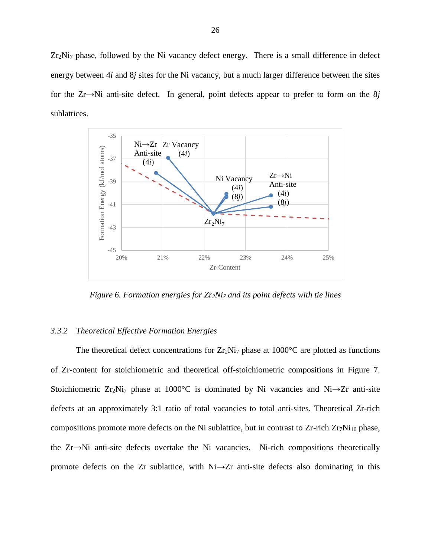Zr<sub>2</sub>Ni<sub>7</sub> phase, followed by the Ni vacancy defect energy. There is a small difference in defect energy between 4*i* and 8*j* sites for the Ni vacancy, but a much larger difference between the sites for the Zr→Ni anti-site defect. In general, point defects appear to prefer to form on the 8*j* sublattices.



*Figure 6. Formation energies for Zr2Ni<sup>7</sup> and its point defects with tie lines*

#### <span id="page-34-1"></span><span id="page-34-0"></span>*3.3.2 Theoretical Effective Formation Energies*

The theoretical defect concentrations for  $Zr_2Ni_7$  phase at 1000 $^{\circ}$ C are plotted as functions of Zr-content for stoichiometric and theoretical off-stoichiometric compositions in [Figure 7.](#page-35-1) Stoichiometric Zr<sub>2</sub>Ni<sub>7</sub> phase at 1000°C is dominated by Ni vacancies and Ni $\rightarrow$ Zr anti-site defects at an approximately 3:1 ratio of total vacancies to total anti-sites. Theoretical Zr-rich compositions promote more defects on the Ni sublattice, but in contrast to  $Zr$ -rich  $Zr_7Ni_{10}$  phase, the Zr→Ni anti-site defects overtake the Ni vacancies. Ni-rich compositions theoretically promote defects on the Zr sublattice, with Ni→Zr anti-site defects also dominating in this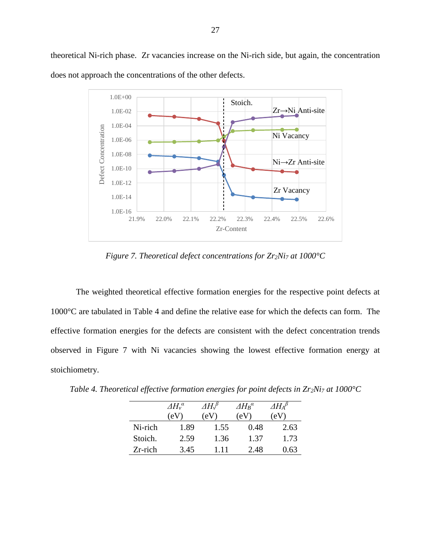theoretical Ni-rich phase. Zr vacancies increase on the Ni-rich side, but again, the concentration does not approach the concentrations of the other defects.



*Figure 7. Theoretical defect concentrations for Zr2Ni<sup>7</sup> at 1000°C*

<span id="page-35-1"></span>The weighted theoretical effective formation energies for the respective point defects at 1000°C are tabulated in [Table 4](#page-35-0) and define the relative ease for which the defects can form. The effective formation energies for the defects are consistent with the defect concentration trends observed in [Figure 7](#page-35-1) with Ni vacancies showing the lowest effective formation energy at stoichiometry.

|            | $\Delta H_v^{\alpha}$ | $\varDelta H\!\!\!\!\!/\,$ | $\varDelta H_B{}^a$ | $\varDelta H_{A}{}^{\beta}$ |
|------------|-----------------------|----------------------------|---------------------|-----------------------------|
|            | (eV                   | eV                         | 'eV                 | $\rm (eV)$                  |
| Ni-rich    | 1.89                  | 1.55                       | 0.48                | 2.63                        |
| Stoich.    | 2.59                  | 1.36                       | 1.37                | 1.73                        |
| $Zr$ -rich | 3.45                  | 111                        | 2.48                | 0.63                        |

<span id="page-35-0"></span>*Table 4. Theoretical effective formation energies for point defects in Zr2Ni<sup>7</sup> at 1000°C*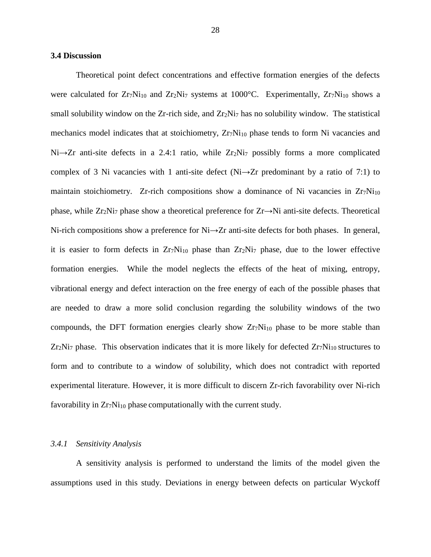#### <span id="page-36-0"></span>**3.4 Discussion**

Theoretical point defect concentrations and effective formation energies of the defects were calculated for  $Zr_7Ni_{10}$  and  $Zr_2Ni_7$  systems at 1000°C. Experimentally,  $Zr_7Ni_{10}$  shows a small solubility window on the Zr-rich side, and  $Zr_2Ni<sub>7</sub>$  has no solubility window. The statistical mechanics model indicates that at stoichiometry,  $Zr_7Ni_{10}$  phase tends to form Ni vacancies and Ni→Zr anti-site defects in a 2.4:1 ratio, while Zr<sub>2</sub>Ni<sub>7</sub> possibly forms a more complicated complex of 3 Ni vacancies with 1 anti-site defect (Ni→Zr predominant by a ratio of 7:1) to maintain stoichiometry. Zr-rich compositions show a dominance of Ni vacancies in  $Zr_7Ni_{10}$ phase, while  $Zr_2Ni_7$  phase show a theoretical preference for  $Zr \rightarrow Ni$  anti-site defects. Theoretical Ni-rich compositions show a preference for Ni→Zr anti-site defects for both phases. In general, it is easier to form defects in Zr7Ni<sup>10</sup> phase than Zr2Ni<sup>7</sup> phase, due to the lower effective formation energies. While the model neglects the effects of the heat of mixing, entropy, vibrational energy and defect interaction on the free energy of each of the possible phases that are needed to draw a more solid conclusion regarding the solubility windows of the two compounds, the DFT formation energies clearly show  $Zr_7Ni_{10}$  phase to be more stable than  $Zr_2Ni_7$  phase. This observation indicates that it is more likely for defected  $Zr_7Ni_{10}$  structures to form and to contribute to a window of solubility, which does not contradict with reported experimental literature. However, it is more difficult to discern Zr-rich favorability over Ni-rich favorability in Zr<sub>7</sub>Ni<sub>10</sub> phase computationally with the current study.

#### <span id="page-36-1"></span>*3.4.1 Sensitivity Analysis*

A sensitivity analysis is performed to understand the limits of the model given the assumptions used in this study. Deviations in energy between defects on particular Wyckoff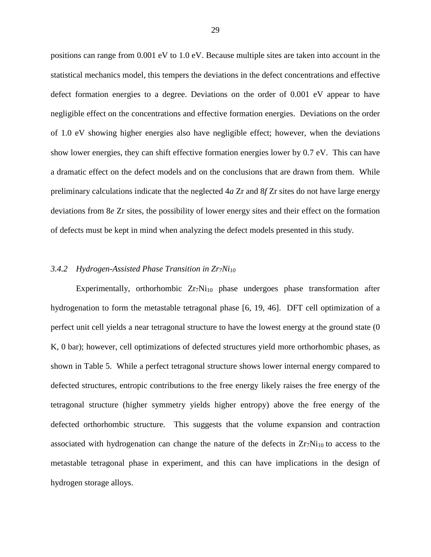positions can range from 0.001 eV to 1.0 eV. Because multiple sites are taken into account in the statistical mechanics model, this tempers the deviations in the defect concentrations and effective defect formation energies to a degree. Deviations on the order of 0.001 eV appear to have negligible effect on the concentrations and effective formation energies. Deviations on the order of 1.0 eV showing higher energies also have negligible effect; however, when the deviations show lower energies, they can shift effective formation energies lower by 0.7 eV. This can have a dramatic effect on the defect models and on the conclusions that are drawn from them. While preliminary calculations indicate that the neglected 4*a* Zr and 8*f* Zr sites do not have large energy deviations from 8*e* Zr sites, the possibility of lower energy sites and their effect on the formation of defects must be kept in mind when analyzing the defect models presented in this study.

#### <span id="page-37-0"></span>*3.4.2 Hydrogen-Assisted Phase Transition in Zr7Ni<sup>10</sup>*

Experimentally, orthorhombic  $Zr_7Ni_{10}$  phase undergoes phase transformation after hydrogenation to form the metastable tetragonal phase [\[6,](#page-42-6) [19,](#page-43-4) [46\]](#page-44-14). DFT cell optimization of a perfect unit cell yields a near tetragonal structure to have the lowest energy at the ground state (0 K, 0 bar); however, cell optimizations of defected structures yield more orthorhombic phases, as shown in [Table 5.](#page-38-1) While a perfect tetragonal structure shows lower internal energy compared to defected structures, entropic contributions to the free energy likely raises the free energy of the tetragonal structure (higher symmetry yields higher entropy) above the free energy of the defected orthorhombic structure. This suggests that the volume expansion and contraction associated with hydrogenation can change the nature of the defects in  $Zr_7Ni_{10}$  to access to the metastable tetragonal phase in experiment, and this can have implications in the design of hydrogen storage alloys.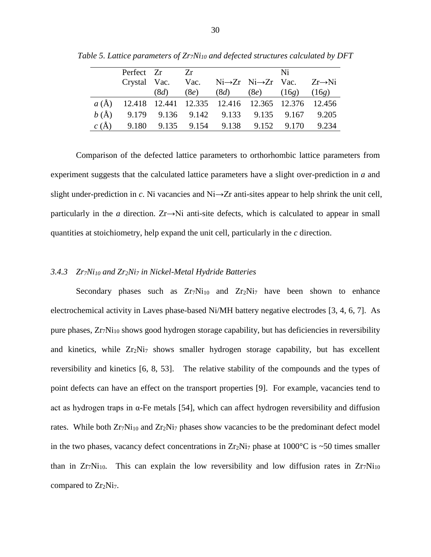|          | Perfect Zr   |      | $Z_r$ |                                                                    | Ni             |       |
|----------|--------------|------|-------|--------------------------------------------------------------------|----------------|-------|
|          | Crystal Vac. |      |       | Vac. $Ni\rightarrow Zr$ $Ni\rightarrow Zr$ Vac. $Zr\rightarrow Ni$ |                |       |
|          |              | (8d) | (8e)  | (8d)                                                               | $(8e)$ $(16g)$ | (16g) |
| $a(\AA)$ |              |      |       | 12.418 12.441 12.335 12.416 12.365 12.376 12.456                   |                |       |
| $b(\AA)$ |              |      |       | 9.179 9.136 9.142 9.133 9.135 9.167 9.205                          |                |       |
| $c(\AA)$ |              |      |       | 9.180 9.135 9.154 9.138 9.152 9.170                                |                | 9.234 |

<span id="page-38-1"></span>*Table 5. Lattice parameters of Zr7Ni<sup>10</sup> and defected structures calculated by DFT*

Comparison of the defected lattice parameters to orthorhombic lattice parameters from experiment suggests that the calculated lattice parameters have a slight over-prediction in *a* and slight under-prediction in *c*. Ni vacancies and Ni→Zr anti-sites appear to help shrink the unit cell, particularly in the *a* direction.  $Zr \rightarrow Ni$  anti-site defects, which is calculated to appear in small quantities at stoichiometry, help expand the unit cell, particularly in the *c* direction.

#### <span id="page-38-0"></span>*3.4.3 Zr7Ni<sup>10</sup> and Zr2Ni<sup>7</sup> in Nickel-Metal Hydride Batteries*

Secondary phases such as  $Zr_7Ni_{10}$  and  $Zr_2Ni_7$  have been shown to enhance electrochemical activity in Laves phase-based Ni/MH battery negative electrodes [\[3,](#page-42-3) [4,](#page-42-4) [6,](#page-42-6) [7\]](#page-42-7). As pure phases, Zr<sub>7</sub>Ni<sub>10</sub> shows good hydrogen storage capability, but has deficiencies in reversibility and kinetics, while  $Zr_2Ni_7$  shows smaller hydrogen storage capability, but has excellent reversibility and kinetics [\[6,](#page-42-6) [8,](#page-42-8) [53\]](#page-45-5). The relative stability of the compounds and the types of point defects can have an effect on the transport properties [\[9\]](#page-42-9). For example, vacancies tend to act as hydrogen traps in α-Fe metals [\[54\]](#page-45-6), which can affect hydrogen reversibility and diffusion rates. While both  $Zr_7Ni_{10}$  and  $Zr_2Ni_7$  phases show vacancies to be the predominant defect model in the two phases, vacancy defect concentrations in  $Zr_2Ni_7$  phase at 1000°C is ~50 times smaller than in  $Zr_7Ni_{10}$ . This can explain the low reversibility and low diffusion rates in  $Zr_7Ni_{10}$ compared to Zr<sub>2</sub>Ni<sub>7</sub>.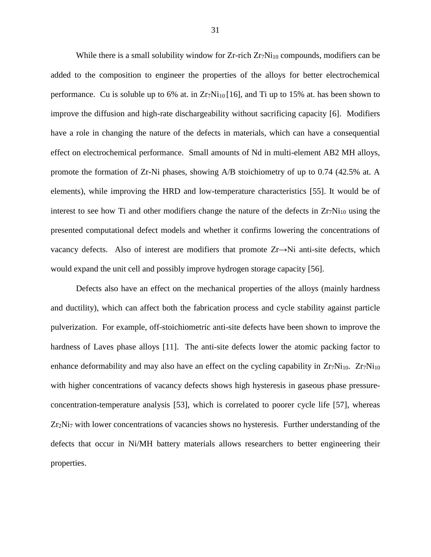While there is a small solubility window for  $Zr$ -rich  $Zr_7Ni_{10}$  compounds, modifiers can be added to the composition to engineer the properties of the alloys for better electrochemical performance. Cu is soluble up to 6% at. in  $Zr_7Ni_{10}$  [\[16\]](#page-43-11), and Ti up to 15% at. has been shown to improve the diffusion and high-rate dischargeability without sacrificing capacity [\[6\]](#page-42-6). Modifiers have a role in changing the nature of the defects in materials, which can have a consequential effect on electrochemical performance. Small amounts of Nd in multi-element AB2 MH alloys, promote the formation of Zr-Ni phases, showing A/B stoichiometry of up to 0.74 (42.5% at. A elements), while improving the HRD and low-temperature characteristics [\[55\]](#page-45-7). It would be of interest to see how Ti and other modifiers change the nature of the defects in  $Zr_7Ni_{10}$  using the presented computational defect models and whether it confirms lowering the concentrations of vacancy defects. Also of interest are modifiers that promote Zr→Ni anti-site defects, which would expand the unit cell and possibly improve hydrogen storage capacity [\[56\]](#page-45-8).

Defects also have an effect on the mechanical properties of the alloys (mainly hardness and ductility), which can affect both the fabrication process and cycle stability against particle pulverization. For example, off-stoichiometric anti-site defects have been shown to improve the hardness of Laves phase alloys [\[11\]](#page-42-11). The anti-site defects lower the atomic packing factor to enhance deformability and may also have an effect on the cycling capability in  $Zr_7Ni_{10}$ .  $Zr_7Ni_{10}$ with higher concentrations of vacancy defects shows high hysteresis in gaseous phase pressureconcentration-temperature analysis [\[53\]](#page-45-5), which is correlated to poorer cycle life [\[57\]](#page-45-9), whereas  $Zr_2Ni_7$  with lower concentrations of vacancies shows no hysteresis. Further understanding of the defects that occur in Ni/MH battery materials allows researchers to better engineering their properties.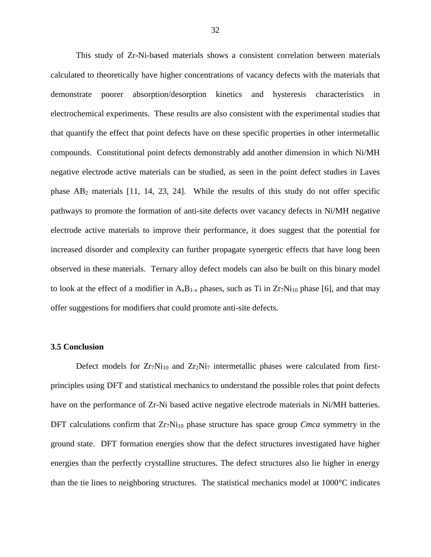This study of Zr-Ni-based materials shows a consistent correlation between materials calculated to theoretically have higher concentrations of vacancy defects with the materials that demonstrate poorer absorption/desorption kinetics and hysteresis characteristics in electrochemical experiments. These results are also consistent with the experimental studies that that quantify the effect that point defects have on these specific properties in other intermetallic compounds. Constitutional point defects demonstrably add another dimension in which Ni/MH negative electrode active materials can be studied, as seen in the point defect studies in Laves phase AB<sup>2</sup> materials [\[11,](#page-42-11) [14,](#page-43-13) [23,](#page-43-14) [24\]](#page-43-15). While the results of this study do not offer specific pathways to promote the formation of anti-site defects over vacancy defects in Ni/MH negative electrode active materials to improve their performance, it does suggest that the potential for increased disorder and complexity can further propagate synergetic effects that have long been observed in these materials. Ternary alloy defect models can also be built on this binary model to look at the effect of a modifier in  $A_xB_{1-x}$  phases, such as Ti in  $Zr_7Ni_{10}$  phase [\[6\]](#page-42-6), and that may offer suggestions for modifiers that could promote anti-site defects.

#### <span id="page-40-0"></span>**3.5 Conclusion**

Defect models for  $Zr_7Ni_{10}$  and  $Zr_2Ni_7$  intermetallic phases were calculated from firstprinciples using DFT and statistical mechanics to understand the possible roles that point defects have on the performance of Zr-Ni based active negative electrode materials in Ni/MH batteries. DFT calculations confirm that Zr<sub>7</sub>Ni<sub>10</sub> phase structure has space group *Cmca* symmetry in the ground state. DFT formation energies show that the defect structures investigated have higher energies than the perfectly crystalline structures. The defect structures also lie higher in energy than the tie lines to neighboring structures. The statistical mechanics model at 1000°C indicates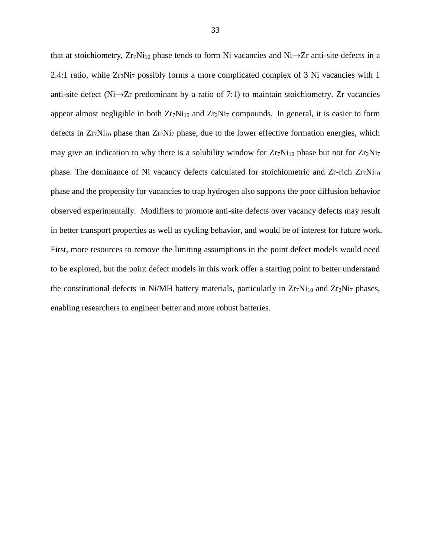that at stoichiometry,  $Zr_7Ni_{10}$  phase tends to form Ni vacancies and Ni $\rightarrow$ Zr anti-site defects in a 2.4:1 ratio, while  $Zr_2Ni_7$  possibly forms a more complicated complex of 3 Ni vacancies with 1 anti-site defect (Ni→Zr predominant by a ratio of 7:1) to maintain stoichiometry. Zr vacancies appear almost negligible in both  $Zr_7Ni_{10}$  and  $Zr_2Ni_7$  compounds. In general, it is easier to form defects in  $Zr_7Ni_{10}$  phase than  $Zr_2Ni_7$  phase, due to the lower effective formation energies, which may give an indication to why there is a solubility window for  $Zr_7Ni_{10}$  phase but not for  $Zr_2Ni_7$ phase. The dominance of Ni vacancy defects calculated for stoichiometric and Zr-rich Zr<sub>7</sub>Ni<sub>10</sub> phase and the propensity for vacancies to trap hydrogen also supports the poor diffusion behavior observed experimentally. Modifiers to promote anti-site defects over vacancy defects may result in better transport properties as well as cycling behavior, and would be of interest for future work. First, more resources to remove the limiting assumptions in the point defect models would need to be explored, but the point defect models in this work offer a starting point to better understand the constitutional defects in Ni/MH battery materials, particularly in  $Zr_7Ni_{10}$  and  $Zr_2Ni_7$  phases, enabling researchers to engineer better and more robust batteries.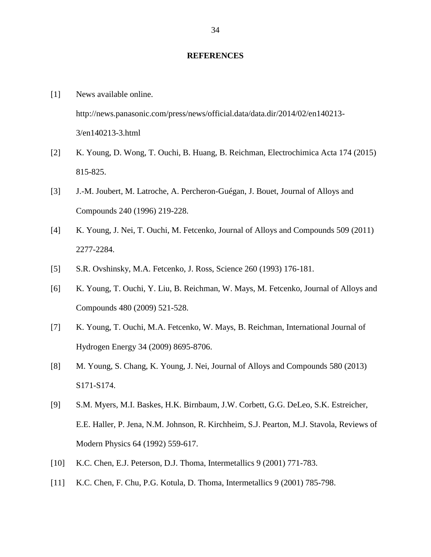#### **REFERENCES**

- <span id="page-42-1"></span><span id="page-42-0"></span>[1] News available online. http://news.panasonic.com/press/news/official.data/data.dir/2014/02/en140213- 3/en140213-3.html
- <span id="page-42-2"></span>[2] K. Young, D. Wong, T. Ouchi, B. Huang, B. Reichman, Electrochimica Acta 174 (2015) 815-825.
- <span id="page-42-3"></span>[3] J.-M. Joubert, M. Latroche, A. Percheron-Guégan, J. Bouet, Journal of Alloys and Compounds 240 (1996) 219-228.
- <span id="page-42-4"></span>[4] K. Young, J. Nei, T. Ouchi, M. Fetcenko, Journal of Alloys and Compounds 509 (2011) 2277-2284.
- <span id="page-42-5"></span>[5] S.R. Ovshinsky, M.A. Fetcenko, J. Ross, Science 260 (1993) 176-181.
- <span id="page-42-6"></span>[6] K. Young, T. Ouchi, Y. Liu, B. Reichman, W. Mays, M. Fetcenko, Journal of Alloys and Compounds 480 (2009) 521-528.
- <span id="page-42-7"></span>[7] K. Young, T. Ouchi, M.A. Fetcenko, W. Mays, B. Reichman, International Journal of Hydrogen Energy 34 (2009) 8695-8706.
- <span id="page-42-8"></span>[8] M. Young, S. Chang, K. Young, J. Nei, Journal of Alloys and Compounds 580 (2013) S171-S174.
- <span id="page-42-9"></span>[9] S.M. Myers, M.I. Baskes, H.K. Birnbaum, J.W. Corbett, G.G. DeLeo, S.K. Estreicher, E.E. Haller, P. Jena, N.M. Johnson, R. Kirchheim, S.J. Pearton, M.J. Stavola, Reviews of Modern Physics 64 (1992) 559-617.
- <span id="page-42-10"></span>[10] K.C. Chen, E.J. Peterson, D.J. Thoma, Intermetallics 9 (2001) 771-783.
- <span id="page-42-11"></span>[11] K.C. Chen, F. Chu, P.G. Kotula, D. Thoma, Intermetallics 9 (2001) 785-798.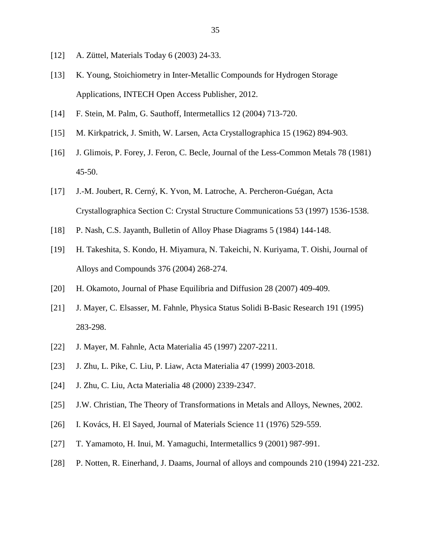- <span id="page-43-0"></span>[12] A. Züttel, Materials Today 6 (2003) 24-33.
- [13] K. Young, Stoichiometry in Inter-Metallic Compounds for Hydrogen Storage Applications, INTECH Open Access Publisher, 2012.
- <span id="page-43-13"></span>[14] F. Stein, M. Palm, G. Sauthoff, Intermetallics 12 (2004) 713-720.
- <span id="page-43-1"></span>[15] M. Kirkpatrick, J. Smith, W. Larsen, Acta Crystallographica 15 (1962) 894-903.
- <span id="page-43-11"></span>[16] J. Glimois, P. Forey, J. Feron, C. Becle, Journal of the Less-Common Metals 78 (1981) 45-50.
- <span id="page-43-12"></span>[17] J.-M. Joubert, R. Cerný, K. Yvon, M. Latroche, A. Percheron-Guégan, Acta Crystallographica Section C: Crystal Structure Communications 53 (1997) 1536-1538.
- <span id="page-43-3"></span>[18] P. Nash, C.S. Jayanth, Bulletin of Alloy Phase Diagrams 5 (1984) 144-148.
- <span id="page-43-4"></span>[19] H. Takeshita, S. Kondo, H. Miyamura, N. Takeichi, N. Kuriyama, T. Oishi, Journal of Alloys and Compounds 376 (2004) 268-274.
- <span id="page-43-5"></span>[20] H. Okamoto, Journal of Phase Equilibria and Diffusion 28 (2007) 409-409.
- <span id="page-43-2"></span>[21] J. Mayer, C. Elsasser, M. Fahnle, Physica Status Solidi B-Basic Research 191 (1995) 283-298.
- <span id="page-43-10"></span>[22] J. Mayer, M. Fahnle, Acta Materialia 45 (1997) 2207-2211.
- <span id="page-43-14"></span>[23] J. Zhu, L. Pike, C. Liu, P. Liaw, Acta Materialia 47 (1999) 2003-2018.
- <span id="page-43-15"></span>[24] J. Zhu, C. Liu, Acta Materialia 48 (2000) 2339-2347.
- <span id="page-43-6"></span>[25] J.W. Christian, The Theory of Transformations in Metals and Alloys, Newnes, 2002.
- <span id="page-43-7"></span>[26] I. Kovács, H. El Sayed, Journal of Materials Science 11 (1976) 529-559.
- <span id="page-43-8"></span>[27] T. Yamamoto, H. Inui, M. Yamaguchi, Intermetallics 9 (2001) 987-991.
- <span id="page-43-9"></span>[28] P. Notten, R. Einerhand, J. Daams, Journal of alloys and compounds 210 (1994) 221-232.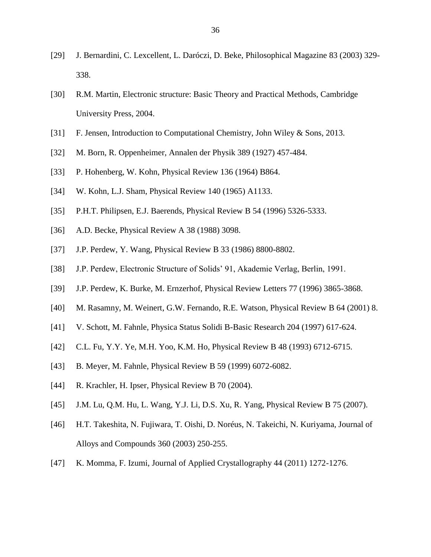- <span id="page-44-0"></span>[29] J. Bernardini, C. Lexcellent, L. Daróczi, D. Beke, Philosophical Magazine 83 (2003) 329- 338.
- <span id="page-44-1"></span>[30] R.M. Martin, Electronic structure: Basic Theory and Practical Methods, Cambridge University Press, 2004.
- <span id="page-44-2"></span>[31] F. Jensen, Introduction to Computational Chemistry, John Wiley & Sons, 2013.
- <span id="page-44-3"></span>[32] M. Born, R. Oppenheimer, Annalen der Physik 389 (1927) 457-484.
- <span id="page-44-4"></span>[33] P. Hohenberg, W. Kohn, Physical Review 136 (1964) B864.
- <span id="page-44-5"></span>[34] W. Kohn, L.J. Sham, Physical Review 140 (1965) A1133.
- <span id="page-44-6"></span>[35] P.H.T. Philipsen, E.J. Baerends, Physical Review B 54 (1996) 5326-5333.
- <span id="page-44-7"></span>[36] A.D. Becke, Physical Review A 38 (1988) 3098.
- <span id="page-44-8"></span>[37] J.P. Perdew, Y. Wang, Physical Review B 33 (1986) 8800-8802.
- <span id="page-44-9"></span>[38] J.P. Perdew, Electronic Structure of Solids' 91, Akademie Verlag, Berlin, 1991.
- <span id="page-44-10"></span>[39] J.P. Perdew, K. Burke, M. Ernzerhof, Physical Review Letters 77 (1996) 3865-3868.
- <span id="page-44-11"></span>[40] M. Rasamny, M. Weinert, G.W. Fernando, R.E. Watson, Physical Review B 64 (2001) 8.
- <span id="page-44-12"></span>[41] V. Schott, M. Fahnle, Physica Status Solidi B-Basic Research 204 (1997) 617-624.
- <span id="page-44-13"></span>[42] C.L. Fu, Y.Y. Ye, M.H. Yoo, K.M. Ho, Physical Review B 48 (1993) 6712-6715.
- [43] B. Meyer, M. Fahnle, Physical Review B 59 (1999) 6072-6082.
- [44] R. Krachler, H. Ipser, Physical Review B 70 (2004).
- [45] J.M. Lu, Q.M. Hu, L. Wang, Y.J. Li, D.S. Xu, R. Yang, Physical Review B 75 (2007).
- <span id="page-44-14"></span>[46] H.T. Takeshita, N. Fujiwara, T. Oishi, D. Noréus, N. Takeichi, N. Kuriyama, Journal of Alloys and Compounds 360 (2003) 250-255.
- <span id="page-44-15"></span>[47] K. Momma, F. Izumi, Journal of Applied Crystallography 44 (2011) 1272-1276.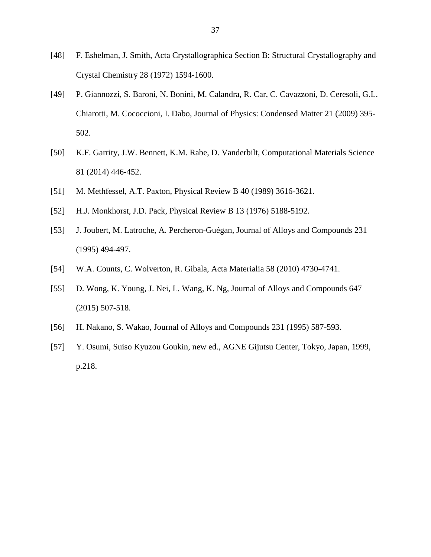- <span id="page-45-0"></span>[48] F. Eshelman, J. Smith, Acta Crystallographica Section B: Structural Crystallography and Crystal Chemistry 28 (1972) 1594-1600.
- <span id="page-45-1"></span>[49] P. Giannozzi, S. Baroni, N. Bonini, M. Calandra, R. Car, C. Cavazzoni, D. Ceresoli, G.L. Chiarotti, M. Cococcioni, I. Dabo, Journal of Physics: Condensed Matter 21 (2009) 395- 502.
- <span id="page-45-2"></span>[50] K.F. Garrity, J.W. Bennett, K.M. Rabe, D. Vanderbilt, Computational Materials Science 81 (2014) 446-452.
- <span id="page-45-3"></span>[51] M. Methfessel, A.T. Paxton, Physical Review B 40 (1989) 3616-3621.
- <span id="page-45-4"></span>[52] H.J. Monkhorst, J.D. Pack, Physical Review B 13 (1976) 5188-5192.
- <span id="page-45-5"></span>[53] J. Joubert, M. Latroche, A. Percheron-Guégan, Journal of Alloys and Compounds 231 (1995) 494-497.
- <span id="page-45-6"></span>[54] W.A. Counts, C. Wolverton, R. Gibala, Acta Materialia 58 (2010) 4730-4741.
- <span id="page-45-7"></span>[55] D. Wong, K. Young, J. Nei, L. Wang, K. Ng, Journal of Alloys and Compounds 647 (2015) 507-518.
- <span id="page-45-8"></span>[56] H. Nakano, S. Wakao, Journal of Alloys and Compounds 231 (1995) 587-593.
- <span id="page-45-9"></span>[57] Y. Osumi, Suiso Kyuzou Goukin, new ed., AGNE Gijutsu Center, Tokyo, Japan, 1999, p.218.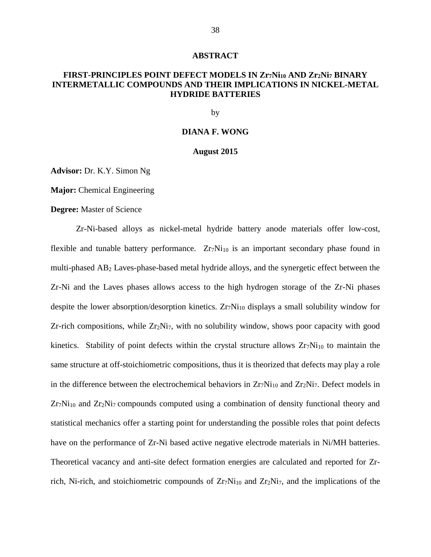#### **ABSTRACT**

### <span id="page-46-0"></span>**FIRST-PRINCIPLES POINT DEFECT MODELS IN Zr7Ni<sup>10</sup> AND Zr2Ni<sup>7</sup> BINARY INTERMETALLIC COMPOUNDS AND THEIR IMPLICATIONS IN NICKEL-METAL HYDRIDE BATTERIES**

by

#### **DIANA F. WONG**

#### **August 2015**

**Advisor:** Dr. K.Y. Simon Ng

**Major:** Chemical Engineering

#### **Degree:** Master of Science

Zr-Ni-based alloys as nickel-metal hydride battery anode materials offer low-cost, flexible and tunable battery performance.  $Zr_7Ni_{10}$  is an important secondary phase found in multi-phased AB<sup>2</sup> Laves-phase-based metal hydride alloys, and the synergetic effect between the Zr-Ni and the Laves phases allows access to the high hydrogen storage of the Zr-Ni phases despite the lower absorption/desorption kinetics.  $Zr_7Ni_{10}$  displays a small solubility window for Zr-rich compositions, while  $Zr_2Ni_7$ , with no solubility window, shows poor capacity with good kinetics. Stability of point defects within the crystal structure allows  $Zr_7Ni_{10}$  to maintain the same structure at off-stoichiometric compositions, thus it is theorized that defects may play a role in the difference between the electrochemical behaviors in  $Zr_7Ni_{10}$  and  $Zr_2Ni_7$ . Defect models in  $Zr_7Ni_{10}$  and  $Zr_2Ni_7$  compounds computed using a combination of density functional theory and statistical mechanics offer a starting point for understanding the possible roles that point defects have on the performance of Zr-Ni based active negative electrode materials in Ni/MH batteries. Theoretical vacancy and anti-site defect formation energies are calculated and reported for Zrrich, Ni-rich, and stoichiometric compounds of  $Zr_7Ni_{10}$  and  $Zr_2Ni_7$ , and the implications of the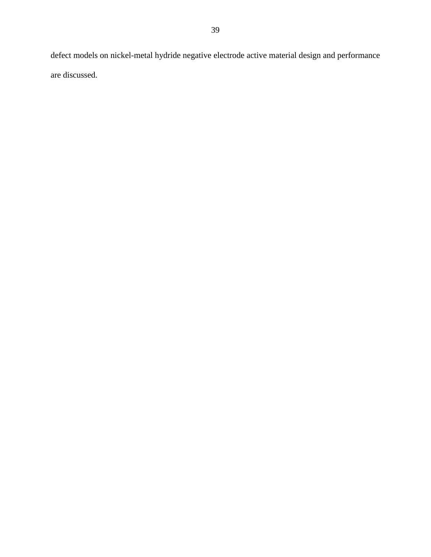defect models on nickel-metal hydride negative electrode active material design and performance are discussed.